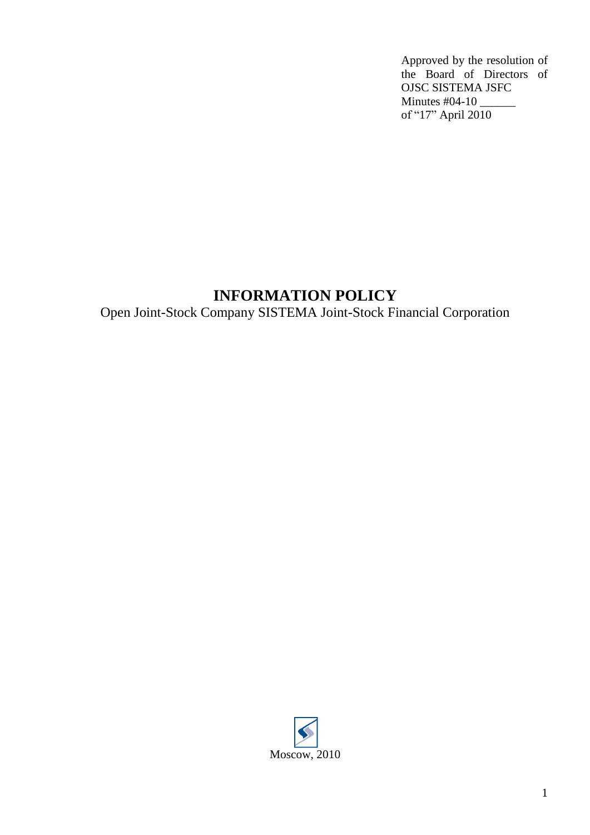Approved by the resolution of the Board of Directors of OJSC SISTEMA JSFC Minutes #04-10 of "17" April 2010

# **INFORMATION POLICY**

Open Joint-Stock Company SISTEMA Joint-Stock Financial Corporation

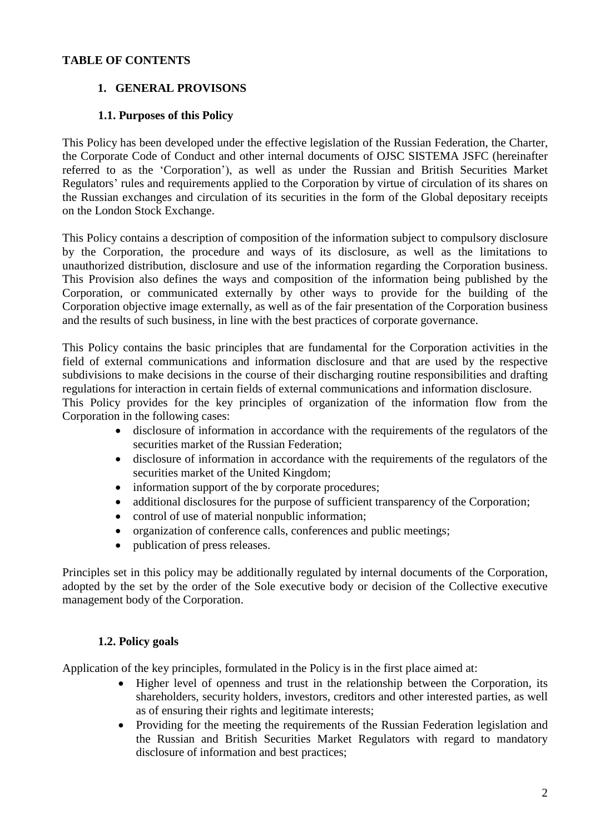## **TABLE OF CONTENTS**

# **1. GENERAL PROVISONS**

## **1.1. Purposes of this Policy**

This Policy has been developed under the effective legislation of the Russian Federation, the Charter, the Corporate Code of Conduct and other internal documents of OJSC SISTEMA JSFC (hereinafter referred to as the 'Corporation'), as well as under the Russian and British Securities Market Regulators' rules and requirements applied to the Corporation by virtue of circulation of its shares on the Russian exchanges and circulation of its securities in the form of the Global depositary receipts on the London Stock Exchange.

This Policy contains a description of composition of the information subject to compulsory disclosure by the Corporation, the procedure and ways of its disclosure, as well as the limitations to unauthorized distribution, disclosure and use of the information regarding the Corporation business. This Provision also defines the ways and composition of the information being published by the Corporation, or communicated externally by other ways to provide for the building of the Corporation objective image externally, as well as of the fair presentation of the Corporation business and the results of such business, in line with the best practices of corporate governance.

This Policy contains the basic principles that are fundamental for the Corporation activities in the field of external communications and information disclosure and that are used by the respective subdivisions to make decisions in the course of their discharging routine responsibilities and drafting regulations for interaction in certain fields of external communications and information disclosure.

This Policy provides for the key principles of organization of the information flow from the Corporation in the following cases:

- disclosure of information in accordance with the requirements of the regulators of the securities market of the Russian Federation;
- disclosure of information in accordance with the requirements of the regulators of the securities market of the United Kingdom;
- information support of the by corporate procedures;
- additional disclosures for the purpose of sufficient transparency of the Corporation;
- control of use of material nonpublic information;
- organization of conference calls, conferences and public meetings;
- publication of press releases.

Principles set in this policy may be additionally regulated by internal documents of the Corporation, adopted by the set by the order of the Sole executive body or decision of the Collective executive management body of the Corporation.

## **1.2. Policy goals**

Application of the key principles, formulated in the Policy is in the first place aimed at:

- Higher level of openness and trust in the relationship between the Corporation, its shareholders, security holders, investors, creditors and other interested parties, as well as of ensuring their rights and legitimate interests;
- Providing for the meeting the requirements of the Russian Federation legislation and the Russian and British Securities Market Regulators with regard to mandatory disclosure of information and best practices;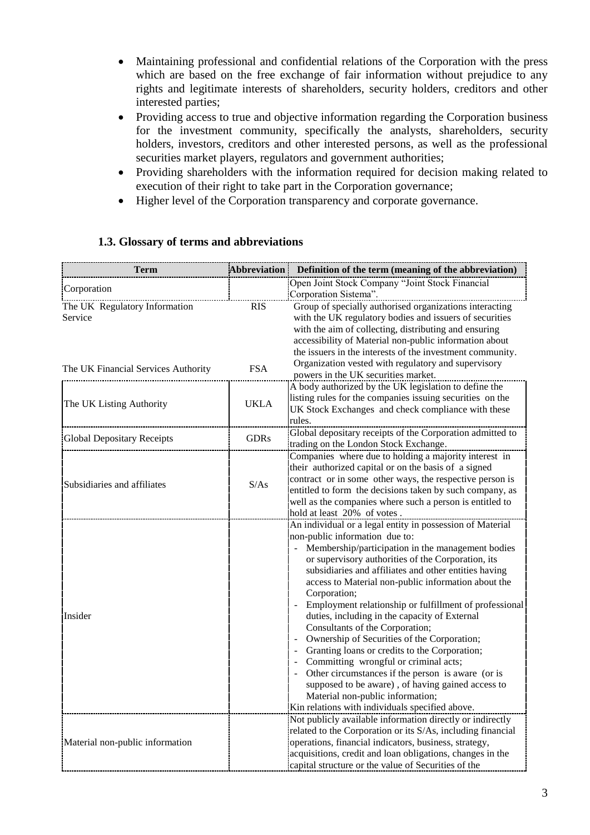- Maintaining professional and confidential relations of the Corporation with the press which are based on the free exchange of fair information without prejudice to any rights and legitimate interests of shareholders, security holders, creditors and other interested parties;
- Providing access to true and objective information regarding the Corporation business for the investment community, specifically the analysts, shareholders, security holders, investors, creditors and other interested persons, as well as the professional securities market players, regulators and government authorities;
- Providing shareholders with the information required for decision making related to execution of their right to take part in the Corporation governance;
- Higher level of the Corporation transparency and corporate governance.

| Term                                     | Abbreviation | Definition of the term (meaning of the abbreviation)                                                                                                                                                                                                                                                                                                                                                                                                                                                                                                                                                                                                                                                                                                                                                                           |
|------------------------------------------|--------------|--------------------------------------------------------------------------------------------------------------------------------------------------------------------------------------------------------------------------------------------------------------------------------------------------------------------------------------------------------------------------------------------------------------------------------------------------------------------------------------------------------------------------------------------------------------------------------------------------------------------------------------------------------------------------------------------------------------------------------------------------------------------------------------------------------------------------------|
| Corporation                              |              | Open Joint Stock Company "Joint Stock Financial<br>Corporation Sistema".                                                                                                                                                                                                                                                                                                                                                                                                                                                                                                                                                                                                                                                                                                                                                       |
| The UK Regulatory Information<br>Service | <b>RIS</b>   | Group of specially authorised organizations interacting<br>with the UK regulatory bodies and issuers of securities<br>with the aim of collecting, distributing and ensuring<br>accessibility of Material non-public information about<br>the issuers in the interests of the investment community.                                                                                                                                                                                                                                                                                                                                                                                                                                                                                                                             |
| The UK Financial Services Authority      | <b>FSA</b>   | Organization vested with regulatory and supervisory<br>powers in the UK securities market.                                                                                                                                                                                                                                                                                                                                                                                                                                                                                                                                                                                                                                                                                                                                     |
| The UK Listing Authority                 | <b>UKLA</b>  | A body authorized by the UK legislation to define the<br>listing rules for the companies issuing securities on the<br>UK Stock Exchanges and check compliance with these<br>rules.                                                                                                                                                                                                                                                                                                                                                                                                                                                                                                                                                                                                                                             |
| <b>Global Depositary Receipts</b>        | <b>GDRs</b>  | Global depositary receipts of the Corporation admitted to<br>trading on the London Stock Exchange.                                                                                                                                                                                                                                                                                                                                                                                                                                                                                                                                                                                                                                                                                                                             |
| Subsidiaries and affiliates              | S/As         | Companies where due to holding a majority interest in<br>their authorized capital or on the basis of a signed<br>contract or in some other ways, the respective person is<br>entitled to form the decisions taken by such company, as<br>well as the companies where such a person is entitled to<br>hold at least 20% of votes.                                                                                                                                                                                                                                                                                                                                                                                                                                                                                               |
| Insider                                  |              | An individual or a legal entity in possession of Material<br>non-public information due to:<br>Membership/participation in the management bodies<br>or supervisory authorities of the Corporation, its<br>subsidiaries and affiliates and other entities having<br>access to Material non-public information about the<br>Corporation;<br>Employment relationship or fulfillment of professional<br>duties, including in the capacity of External<br>Consultants of the Corporation;<br>Ownership of Securities of the Corporation;<br>Granting loans or credits to the Corporation;<br>Committing wrongful or criminal acts;<br>Other circumstances if the person is aware (or is<br>supposed to be aware), of having gained access to<br>Material non-public information;<br>Kin relations with individuals specified above. |
| Material non-public information          |              | Not publicly available information directly or indirectly<br>related to the Corporation or its S/As, including financial<br>operations, financial indicators, business, strategy,<br>acquisitions, credit and loan obligations, changes in the<br>capital structure or the value of Securities of the                                                                                                                                                                                                                                                                                                                                                                                                                                                                                                                          |

#### **1.3. Glossary of terms and abbreviations**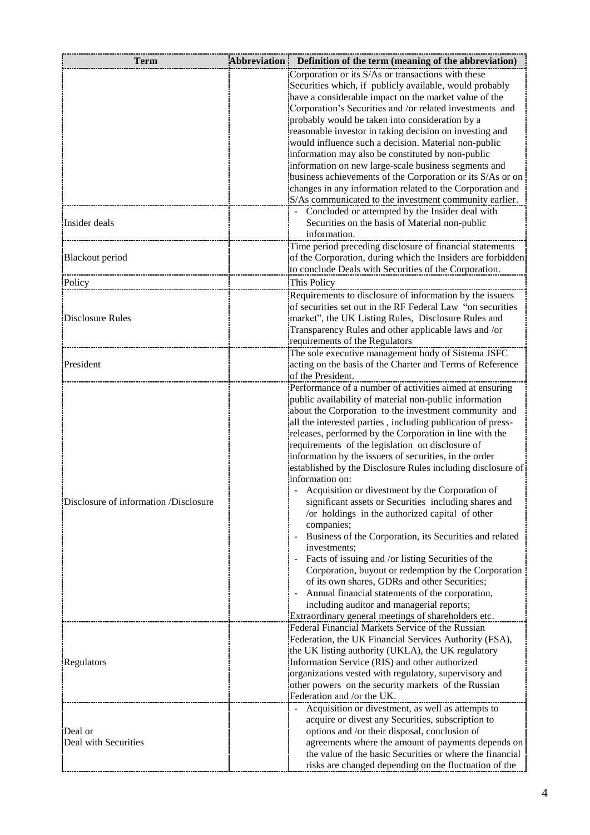| Term                                  | Abbreviation   Definition of the term (meaning of the abbreviation)                                                     |
|---------------------------------------|-------------------------------------------------------------------------------------------------------------------------|
|                                       | Corporation or its S/As or transactions with these                                                                      |
|                                       | Securities which, if publicly available, would probably                                                                 |
|                                       | have a considerable impact on the market value of the                                                                   |
|                                       | Corporation's Securities and /or related investments and                                                                |
|                                       | probably would be taken into consideration by a                                                                         |
|                                       | reasonable investor in taking decision on investing and                                                                 |
|                                       | would influence such a decision. Material non-public                                                                    |
|                                       | information may also be constituted by non-public                                                                       |
|                                       | information on new large-scale business segments and                                                                    |
|                                       | business achievements of the Corporation or its S/As or on<br>changes in any information related to the Corporation and |
|                                       | S/As communicated to the investment community earlier.                                                                  |
| Insider deals                         | Concluded or attempted by the Insider deal with                                                                         |
|                                       | Securities on the basis of Material non-public                                                                          |
|                                       | information.                                                                                                            |
|                                       | Time period preceding disclosure of financial statements                                                                |
| <b>Blackout</b> period                | of the Corporation, during which the Insiders are forbidden                                                             |
|                                       | to conclude Deals with Securities of the Corporation.                                                                   |
| Policy                                | This Policy                                                                                                             |
|                                       | Requirements to disclosure of information by the issuers                                                                |
|                                       | of securities set out in the RF Federal Law "on securities                                                              |
| Disclosure Rules                      | market", the UK Listing Rules, Disclosure Rules and                                                                     |
|                                       | Transparency Rules and other applicable laws and /or                                                                    |
|                                       | requirements of the Regulators                                                                                          |
|                                       | The sole executive management body of Sistema JSFC                                                                      |
| President                             | acting on the basis of the Charter and Terms of Reference                                                               |
|                                       | of the President.                                                                                                       |
|                                       | Performance of a number of activities aimed at ensuring                                                                 |
|                                       | public availability of material non-public information                                                                  |
|                                       | about the Corporation to the investment community and                                                                   |
|                                       | all the interested parties, including publication of press-                                                             |
|                                       | releases, performed by the Corporation in line with the<br>requirements of the legislation on disclosure of             |
|                                       | information by the issuers of securities, in the order                                                                  |
|                                       | established by the Disclosure Rules including disclosure of                                                             |
|                                       | information on:                                                                                                         |
|                                       | Acquisition or divestment by the Corporation of                                                                         |
| Disclosure of information /Disclosure | significant assets or Securities including shares and                                                                   |
|                                       | /or holdings in the authorized capital of other                                                                         |
|                                       | companies;                                                                                                              |
|                                       | Business of the Corporation, its Securities and related                                                                 |
|                                       | investments;                                                                                                            |
|                                       | Facts of issuing and /or listing Securities of the                                                                      |
|                                       | Corporation, buyout or redemption by the Corporation                                                                    |
|                                       | of its own shares, GDRs and other Securities;                                                                           |
|                                       | Annual financial statements of the corporation,                                                                         |
|                                       | including auditor and managerial reports;<br>Extraordinary general meetings of shareholders etc.                        |
| Regulators                            | Federal Financial Markets Service of the Russian                                                                        |
|                                       | Federation, the UK Financial Services Authority (FSA),                                                                  |
|                                       | the UK listing authority (UKLA), the UK regulatory                                                                      |
|                                       | Information Service (RIS) and other authorized                                                                          |
|                                       | organizations vested with regulatory, supervisory and                                                                   |
|                                       | other powers on the security markets of the Russian                                                                     |
|                                       | Federation and /or the UK.                                                                                              |
|                                       | Acquisition or divestment, as well as attempts to                                                                       |
| Deal or<br>Deal with Securities       | acquire or divest any Securities, subscription to                                                                       |
|                                       | options and /or their disposal, conclusion of                                                                           |
|                                       | agreements where the amount of payments depends on                                                                      |
|                                       | the value of the basic Securities or where the financial                                                                |
|                                       | risks are changed depending on the fluctuation of the                                                                   |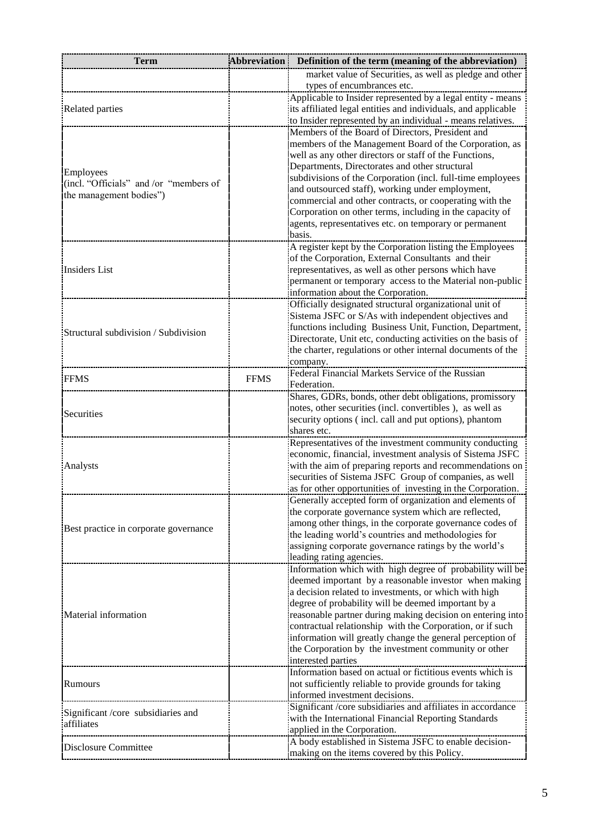| market value of Securities, as well as pledge and other<br>types of encumbrances etc.<br>Applicable to Insider represented by a legal entity - means<br>its affiliated legal entities and individuals, and applicable<br><b>Related parties</b><br>to Insider represented by an individual - means relatives.<br>Members of the Board of Directors, President and<br>members of the Management Board of the Corporation, as<br>well as any other directors or staff of the Functions,<br>Departments, Directorates and other structural<br>Employees<br>subdivisions of the Corporation (incl. full-time employees<br>(incl. "Officials" and /or "members of<br>and outsourced staff), working under employment,<br>the management bodies")<br>commercial and other contracts, or cooperating with the<br>Corporation on other terms, including in the capacity of<br>agents, representatives etc. on temporary or permanent<br>basis.<br>A register kept by the Corporation listing the Employees<br>of the Corporation, External Consultants and their<br>representatives, as well as other persons which have<br>permanent or temporary access to the Material non-public<br>information about the Corporation.<br>Officially designated structural organizational unit of<br>Sistema JSFC or S/As with independent objectives and<br>functions including Business Unit, Function, Department,<br>Directorate, Unit etc, conducting activities on the basis of<br>the charter, regulations or other internal documents of the<br>company.<br>Federal Financial Markets Service of the Russian<br><b>FFMS</b><br><b>FFMS</b><br>Federation.<br>Shares, GDRs, bonds, other debt obligations, promissory<br>notes, other securities (incl. convertibles), as well as<br>Securities<br>security options (incl. call and put options), phantom<br>shares etc.<br>Representatives of the investment community conducting<br>economic, financial, investment analysis of Sistema JSFC<br>with the aim of preparing reports and recommendations on<br>Analysts<br>securities of Sistema JSFC Group of companies, as well<br>as for other opportunities of investing in the Corporation.<br>Generally accepted form of organization and elements of<br>the corporate governance system which are reflected,<br>among other things, in the corporate governance codes of<br>the leading world's countries and methodologies for<br>assigning corporate governance ratings by the world's<br>leading rating agencies.<br>Information which with high degree of probability will be<br>deemed important by a reasonable investor when making<br>a decision related to investments, or which with high<br>degree of probability will be deemed important by a<br>contractual relationship with the Corporation, or if such<br>information will greatly change the general perception of<br>the Corporation by the investment community or other<br>interested parties<br>Information based on actual or fictitious events which is<br>not sufficiently reliable to provide grounds for taking<br>Rumours<br>informed investment decisions.<br>Significant /core subsidiaries and affiliates in accordance<br>with the International Financial Reporting Standards<br>affiliates<br>applied in the Corporation.<br>A body established in Sistema JSFC to enable decision- | <b>Term</b>                           | <b>Abbreviation</b> | Definition of the term (meaning of the abbreviation) |
|----------------------------------------------------------------------------------------------------------------------------------------------------------------------------------------------------------------------------------------------------------------------------------------------------------------------------------------------------------------------------------------------------------------------------------------------------------------------------------------------------------------------------------------------------------------------------------------------------------------------------------------------------------------------------------------------------------------------------------------------------------------------------------------------------------------------------------------------------------------------------------------------------------------------------------------------------------------------------------------------------------------------------------------------------------------------------------------------------------------------------------------------------------------------------------------------------------------------------------------------------------------------------------------------------------------------------------------------------------------------------------------------------------------------------------------------------------------------------------------------------------------------------------------------------------------------------------------------------------------------------------------------------------------------------------------------------------------------------------------------------------------------------------------------------------------------------------------------------------------------------------------------------------------------------------------------------------------------------------------------------------------------------------------------------------------------------------------------------------------------------------------------------------------------------------------------------------------------------------------------------------------------------------------------------------------------------------------------------------------------------------------------------------------------------------------------------------------------------------------------------------------------------------------------------------------------------------------------------------------------------------------------------------------------------------------------------------------------------------------------------------------------------------------------------------------------------------------------------------------------------------------------------------------------------------------------------------------------------------------------------------------------------------------------------------------------------------------------------------------------------------------------------------------------------------------------------------------------------------------------------------------------------------------------------------------------------------------------------------------|---------------------------------------|---------------------|------------------------------------------------------|
|                                                                                                                                                                                                                                                                                                                                                                                                                                                                                                                                                                                                                                                                                                                                                                                                                                                                                                                                                                                                                                                                                                                                                                                                                                                                                                                                                                                                                                                                                                                                                                                                                                                                                                                                                                                                                                                                                                                                                                                                                                                                                                                                                                                                                                                                                                                                                                                                                                                                                                                                                                                                                                                                                                                                                                                                                                                                                                                                                                                                                                                                                                                                                                                                                                                                                                                                                                |                                       |                     |                                                      |
|                                                                                                                                                                                                                                                                                                                                                                                                                                                                                                                                                                                                                                                                                                                                                                                                                                                                                                                                                                                                                                                                                                                                                                                                                                                                                                                                                                                                                                                                                                                                                                                                                                                                                                                                                                                                                                                                                                                                                                                                                                                                                                                                                                                                                                                                                                                                                                                                                                                                                                                                                                                                                                                                                                                                                                                                                                                                                                                                                                                                                                                                                                                                                                                                                                                                                                                                                                |                                       |                     |                                                      |
| reasonable partner during making decision on entering into                                                                                                                                                                                                                                                                                                                                                                                                                                                                                                                                                                                                                                                                                                                                                                                                                                                                                                                                                                                                                                                                                                                                                                                                                                                                                                                                                                                                                                                                                                                                                                                                                                                                                                                                                                                                                                                                                                                                                                                                                                                                                                                                                                                                                                                                                                                                                                                                                                                                                                                                                                                                                                                                                                                                                                                                                                                                                                                                                                                                                                                                                                                                                                                                                                                                                                     |                                       |                     |                                                      |
|                                                                                                                                                                                                                                                                                                                                                                                                                                                                                                                                                                                                                                                                                                                                                                                                                                                                                                                                                                                                                                                                                                                                                                                                                                                                                                                                                                                                                                                                                                                                                                                                                                                                                                                                                                                                                                                                                                                                                                                                                                                                                                                                                                                                                                                                                                                                                                                                                                                                                                                                                                                                                                                                                                                                                                                                                                                                                                                                                                                                                                                                                                                                                                                                                                                                                                                                                                |                                       |                     |                                                      |
|                                                                                                                                                                                                                                                                                                                                                                                                                                                                                                                                                                                                                                                                                                                                                                                                                                                                                                                                                                                                                                                                                                                                                                                                                                                                                                                                                                                                                                                                                                                                                                                                                                                                                                                                                                                                                                                                                                                                                                                                                                                                                                                                                                                                                                                                                                                                                                                                                                                                                                                                                                                                                                                                                                                                                                                                                                                                                                                                                                                                                                                                                                                                                                                                                                                                                                                                                                |                                       |                     |                                                      |
|                                                                                                                                                                                                                                                                                                                                                                                                                                                                                                                                                                                                                                                                                                                                                                                                                                                                                                                                                                                                                                                                                                                                                                                                                                                                                                                                                                                                                                                                                                                                                                                                                                                                                                                                                                                                                                                                                                                                                                                                                                                                                                                                                                                                                                                                                                                                                                                                                                                                                                                                                                                                                                                                                                                                                                                                                                                                                                                                                                                                                                                                                                                                                                                                                                                                                                                                                                |                                       |                     |                                                      |
|                                                                                                                                                                                                                                                                                                                                                                                                                                                                                                                                                                                                                                                                                                                                                                                                                                                                                                                                                                                                                                                                                                                                                                                                                                                                                                                                                                                                                                                                                                                                                                                                                                                                                                                                                                                                                                                                                                                                                                                                                                                                                                                                                                                                                                                                                                                                                                                                                                                                                                                                                                                                                                                                                                                                                                                                                                                                                                                                                                                                                                                                                                                                                                                                                                                                                                                                                                |                                       |                     |                                                      |
|                                                                                                                                                                                                                                                                                                                                                                                                                                                                                                                                                                                                                                                                                                                                                                                                                                                                                                                                                                                                                                                                                                                                                                                                                                                                                                                                                                                                                                                                                                                                                                                                                                                                                                                                                                                                                                                                                                                                                                                                                                                                                                                                                                                                                                                                                                                                                                                                                                                                                                                                                                                                                                                                                                                                                                                                                                                                                                                                                                                                                                                                                                                                                                                                                                                                                                                                                                |                                       |                     |                                                      |
|                                                                                                                                                                                                                                                                                                                                                                                                                                                                                                                                                                                                                                                                                                                                                                                                                                                                                                                                                                                                                                                                                                                                                                                                                                                                                                                                                                                                                                                                                                                                                                                                                                                                                                                                                                                                                                                                                                                                                                                                                                                                                                                                                                                                                                                                                                                                                                                                                                                                                                                                                                                                                                                                                                                                                                                                                                                                                                                                                                                                                                                                                                                                                                                                                                                                                                                                                                |                                       |                     |                                                      |
|                                                                                                                                                                                                                                                                                                                                                                                                                                                                                                                                                                                                                                                                                                                                                                                                                                                                                                                                                                                                                                                                                                                                                                                                                                                                                                                                                                                                                                                                                                                                                                                                                                                                                                                                                                                                                                                                                                                                                                                                                                                                                                                                                                                                                                                                                                                                                                                                                                                                                                                                                                                                                                                                                                                                                                                                                                                                                                                                                                                                                                                                                                                                                                                                                                                                                                                                                                |                                       |                     |                                                      |
|                                                                                                                                                                                                                                                                                                                                                                                                                                                                                                                                                                                                                                                                                                                                                                                                                                                                                                                                                                                                                                                                                                                                                                                                                                                                                                                                                                                                                                                                                                                                                                                                                                                                                                                                                                                                                                                                                                                                                                                                                                                                                                                                                                                                                                                                                                                                                                                                                                                                                                                                                                                                                                                                                                                                                                                                                                                                                                                                                                                                                                                                                                                                                                                                                                                                                                                                                                |                                       |                     |                                                      |
|                                                                                                                                                                                                                                                                                                                                                                                                                                                                                                                                                                                                                                                                                                                                                                                                                                                                                                                                                                                                                                                                                                                                                                                                                                                                                                                                                                                                                                                                                                                                                                                                                                                                                                                                                                                                                                                                                                                                                                                                                                                                                                                                                                                                                                                                                                                                                                                                                                                                                                                                                                                                                                                                                                                                                                                                                                                                                                                                                                                                                                                                                                                                                                                                                                                                                                                                                                |                                       |                     |                                                      |
|                                                                                                                                                                                                                                                                                                                                                                                                                                                                                                                                                                                                                                                                                                                                                                                                                                                                                                                                                                                                                                                                                                                                                                                                                                                                                                                                                                                                                                                                                                                                                                                                                                                                                                                                                                                                                                                                                                                                                                                                                                                                                                                                                                                                                                                                                                                                                                                                                                                                                                                                                                                                                                                                                                                                                                                                                                                                                                                                                                                                                                                                                                                                                                                                                                                                                                                                                                |                                       |                     |                                                      |
|                                                                                                                                                                                                                                                                                                                                                                                                                                                                                                                                                                                                                                                                                                                                                                                                                                                                                                                                                                                                                                                                                                                                                                                                                                                                                                                                                                                                                                                                                                                                                                                                                                                                                                                                                                                                                                                                                                                                                                                                                                                                                                                                                                                                                                                                                                                                                                                                                                                                                                                                                                                                                                                                                                                                                                                                                                                                                                                                                                                                                                                                                                                                                                                                                                                                                                                                                                |                                       |                     |                                                      |
|                                                                                                                                                                                                                                                                                                                                                                                                                                                                                                                                                                                                                                                                                                                                                                                                                                                                                                                                                                                                                                                                                                                                                                                                                                                                                                                                                                                                                                                                                                                                                                                                                                                                                                                                                                                                                                                                                                                                                                                                                                                                                                                                                                                                                                                                                                                                                                                                                                                                                                                                                                                                                                                                                                                                                                                                                                                                                                                                                                                                                                                                                                                                                                                                                                                                                                                                                                |                                       |                     |                                                      |
|                                                                                                                                                                                                                                                                                                                                                                                                                                                                                                                                                                                                                                                                                                                                                                                                                                                                                                                                                                                                                                                                                                                                                                                                                                                                                                                                                                                                                                                                                                                                                                                                                                                                                                                                                                                                                                                                                                                                                                                                                                                                                                                                                                                                                                                                                                                                                                                                                                                                                                                                                                                                                                                                                                                                                                                                                                                                                                                                                                                                                                                                                                                                                                                                                                                                                                                                                                | Insiders List                         |                     |                                                      |
|                                                                                                                                                                                                                                                                                                                                                                                                                                                                                                                                                                                                                                                                                                                                                                                                                                                                                                                                                                                                                                                                                                                                                                                                                                                                                                                                                                                                                                                                                                                                                                                                                                                                                                                                                                                                                                                                                                                                                                                                                                                                                                                                                                                                                                                                                                                                                                                                                                                                                                                                                                                                                                                                                                                                                                                                                                                                                                                                                                                                                                                                                                                                                                                                                                                                                                                                                                |                                       |                     |                                                      |
|                                                                                                                                                                                                                                                                                                                                                                                                                                                                                                                                                                                                                                                                                                                                                                                                                                                                                                                                                                                                                                                                                                                                                                                                                                                                                                                                                                                                                                                                                                                                                                                                                                                                                                                                                                                                                                                                                                                                                                                                                                                                                                                                                                                                                                                                                                                                                                                                                                                                                                                                                                                                                                                                                                                                                                                                                                                                                                                                                                                                                                                                                                                                                                                                                                                                                                                                                                |                                       |                     |                                                      |
|                                                                                                                                                                                                                                                                                                                                                                                                                                                                                                                                                                                                                                                                                                                                                                                                                                                                                                                                                                                                                                                                                                                                                                                                                                                                                                                                                                                                                                                                                                                                                                                                                                                                                                                                                                                                                                                                                                                                                                                                                                                                                                                                                                                                                                                                                                                                                                                                                                                                                                                                                                                                                                                                                                                                                                                                                                                                                                                                                                                                                                                                                                                                                                                                                                                                                                                                                                |                                       |                     |                                                      |
|                                                                                                                                                                                                                                                                                                                                                                                                                                                                                                                                                                                                                                                                                                                                                                                                                                                                                                                                                                                                                                                                                                                                                                                                                                                                                                                                                                                                                                                                                                                                                                                                                                                                                                                                                                                                                                                                                                                                                                                                                                                                                                                                                                                                                                                                                                                                                                                                                                                                                                                                                                                                                                                                                                                                                                                                                                                                                                                                                                                                                                                                                                                                                                                                                                                                                                                                                                |                                       |                     |                                                      |
|                                                                                                                                                                                                                                                                                                                                                                                                                                                                                                                                                                                                                                                                                                                                                                                                                                                                                                                                                                                                                                                                                                                                                                                                                                                                                                                                                                                                                                                                                                                                                                                                                                                                                                                                                                                                                                                                                                                                                                                                                                                                                                                                                                                                                                                                                                                                                                                                                                                                                                                                                                                                                                                                                                                                                                                                                                                                                                                                                                                                                                                                                                                                                                                                                                                                                                                                                                | Structural subdivision / Subdivision  |                     |                                                      |
|                                                                                                                                                                                                                                                                                                                                                                                                                                                                                                                                                                                                                                                                                                                                                                                                                                                                                                                                                                                                                                                                                                                                                                                                                                                                                                                                                                                                                                                                                                                                                                                                                                                                                                                                                                                                                                                                                                                                                                                                                                                                                                                                                                                                                                                                                                                                                                                                                                                                                                                                                                                                                                                                                                                                                                                                                                                                                                                                                                                                                                                                                                                                                                                                                                                                                                                                                                |                                       |                     |                                                      |
|                                                                                                                                                                                                                                                                                                                                                                                                                                                                                                                                                                                                                                                                                                                                                                                                                                                                                                                                                                                                                                                                                                                                                                                                                                                                                                                                                                                                                                                                                                                                                                                                                                                                                                                                                                                                                                                                                                                                                                                                                                                                                                                                                                                                                                                                                                                                                                                                                                                                                                                                                                                                                                                                                                                                                                                                                                                                                                                                                                                                                                                                                                                                                                                                                                                                                                                                                                |                                       |                     |                                                      |
|                                                                                                                                                                                                                                                                                                                                                                                                                                                                                                                                                                                                                                                                                                                                                                                                                                                                                                                                                                                                                                                                                                                                                                                                                                                                                                                                                                                                                                                                                                                                                                                                                                                                                                                                                                                                                                                                                                                                                                                                                                                                                                                                                                                                                                                                                                                                                                                                                                                                                                                                                                                                                                                                                                                                                                                                                                                                                                                                                                                                                                                                                                                                                                                                                                                                                                                                                                |                                       |                     |                                                      |
|                                                                                                                                                                                                                                                                                                                                                                                                                                                                                                                                                                                                                                                                                                                                                                                                                                                                                                                                                                                                                                                                                                                                                                                                                                                                                                                                                                                                                                                                                                                                                                                                                                                                                                                                                                                                                                                                                                                                                                                                                                                                                                                                                                                                                                                                                                                                                                                                                                                                                                                                                                                                                                                                                                                                                                                                                                                                                                                                                                                                                                                                                                                                                                                                                                                                                                                                                                |                                       |                     |                                                      |
|                                                                                                                                                                                                                                                                                                                                                                                                                                                                                                                                                                                                                                                                                                                                                                                                                                                                                                                                                                                                                                                                                                                                                                                                                                                                                                                                                                                                                                                                                                                                                                                                                                                                                                                                                                                                                                                                                                                                                                                                                                                                                                                                                                                                                                                                                                                                                                                                                                                                                                                                                                                                                                                                                                                                                                                                                                                                                                                                                                                                                                                                                                                                                                                                                                                                                                                                                                |                                       |                     |                                                      |
|                                                                                                                                                                                                                                                                                                                                                                                                                                                                                                                                                                                                                                                                                                                                                                                                                                                                                                                                                                                                                                                                                                                                                                                                                                                                                                                                                                                                                                                                                                                                                                                                                                                                                                                                                                                                                                                                                                                                                                                                                                                                                                                                                                                                                                                                                                                                                                                                                                                                                                                                                                                                                                                                                                                                                                                                                                                                                                                                                                                                                                                                                                                                                                                                                                                                                                                                                                |                                       |                     |                                                      |
|                                                                                                                                                                                                                                                                                                                                                                                                                                                                                                                                                                                                                                                                                                                                                                                                                                                                                                                                                                                                                                                                                                                                                                                                                                                                                                                                                                                                                                                                                                                                                                                                                                                                                                                                                                                                                                                                                                                                                                                                                                                                                                                                                                                                                                                                                                                                                                                                                                                                                                                                                                                                                                                                                                                                                                                                                                                                                                                                                                                                                                                                                                                                                                                                                                                                                                                                                                |                                       |                     |                                                      |
|                                                                                                                                                                                                                                                                                                                                                                                                                                                                                                                                                                                                                                                                                                                                                                                                                                                                                                                                                                                                                                                                                                                                                                                                                                                                                                                                                                                                                                                                                                                                                                                                                                                                                                                                                                                                                                                                                                                                                                                                                                                                                                                                                                                                                                                                                                                                                                                                                                                                                                                                                                                                                                                                                                                                                                                                                                                                                                                                                                                                                                                                                                                                                                                                                                                                                                                                                                |                                       |                     |                                                      |
|                                                                                                                                                                                                                                                                                                                                                                                                                                                                                                                                                                                                                                                                                                                                                                                                                                                                                                                                                                                                                                                                                                                                                                                                                                                                                                                                                                                                                                                                                                                                                                                                                                                                                                                                                                                                                                                                                                                                                                                                                                                                                                                                                                                                                                                                                                                                                                                                                                                                                                                                                                                                                                                                                                                                                                                                                                                                                                                                                                                                                                                                                                                                                                                                                                                                                                                                                                |                                       |                     |                                                      |
|                                                                                                                                                                                                                                                                                                                                                                                                                                                                                                                                                                                                                                                                                                                                                                                                                                                                                                                                                                                                                                                                                                                                                                                                                                                                                                                                                                                                                                                                                                                                                                                                                                                                                                                                                                                                                                                                                                                                                                                                                                                                                                                                                                                                                                                                                                                                                                                                                                                                                                                                                                                                                                                                                                                                                                                                                                                                                                                                                                                                                                                                                                                                                                                                                                                                                                                                                                |                                       |                     |                                                      |
|                                                                                                                                                                                                                                                                                                                                                                                                                                                                                                                                                                                                                                                                                                                                                                                                                                                                                                                                                                                                                                                                                                                                                                                                                                                                                                                                                                                                                                                                                                                                                                                                                                                                                                                                                                                                                                                                                                                                                                                                                                                                                                                                                                                                                                                                                                                                                                                                                                                                                                                                                                                                                                                                                                                                                                                                                                                                                                                                                                                                                                                                                                                                                                                                                                                                                                                                                                |                                       |                     |                                                      |
|                                                                                                                                                                                                                                                                                                                                                                                                                                                                                                                                                                                                                                                                                                                                                                                                                                                                                                                                                                                                                                                                                                                                                                                                                                                                                                                                                                                                                                                                                                                                                                                                                                                                                                                                                                                                                                                                                                                                                                                                                                                                                                                                                                                                                                                                                                                                                                                                                                                                                                                                                                                                                                                                                                                                                                                                                                                                                                                                                                                                                                                                                                                                                                                                                                                                                                                                                                |                                       |                     |                                                      |
|                                                                                                                                                                                                                                                                                                                                                                                                                                                                                                                                                                                                                                                                                                                                                                                                                                                                                                                                                                                                                                                                                                                                                                                                                                                                                                                                                                                                                                                                                                                                                                                                                                                                                                                                                                                                                                                                                                                                                                                                                                                                                                                                                                                                                                                                                                                                                                                                                                                                                                                                                                                                                                                                                                                                                                                                                                                                                                                                                                                                                                                                                                                                                                                                                                                                                                                                                                | Best practice in corporate governance |                     |                                                      |
|                                                                                                                                                                                                                                                                                                                                                                                                                                                                                                                                                                                                                                                                                                                                                                                                                                                                                                                                                                                                                                                                                                                                                                                                                                                                                                                                                                                                                                                                                                                                                                                                                                                                                                                                                                                                                                                                                                                                                                                                                                                                                                                                                                                                                                                                                                                                                                                                                                                                                                                                                                                                                                                                                                                                                                                                                                                                                                                                                                                                                                                                                                                                                                                                                                                                                                                                                                |                                       |                     |                                                      |
|                                                                                                                                                                                                                                                                                                                                                                                                                                                                                                                                                                                                                                                                                                                                                                                                                                                                                                                                                                                                                                                                                                                                                                                                                                                                                                                                                                                                                                                                                                                                                                                                                                                                                                                                                                                                                                                                                                                                                                                                                                                                                                                                                                                                                                                                                                                                                                                                                                                                                                                                                                                                                                                                                                                                                                                                                                                                                                                                                                                                                                                                                                                                                                                                                                                                                                                                                                |                                       |                     |                                                      |
|                                                                                                                                                                                                                                                                                                                                                                                                                                                                                                                                                                                                                                                                                                                                                                                                                                                                                                                                                                                                                                                                                                                                                                                                                                                                                                                                                                                                                                                                                                                                                                                                                                                                                                                                                                                                                                                                                                                                                                                                                                                                                                                                                                                                                                                                                                                                                                                                                                                                                                                                                                                                                                                                                                                                                                                                                                                                                                                                                                                                                                                                                                                                                                                                                                                                                                                                                                |                                       |                     |                                                      |
|                                                                                                                                                                                                                                                                                                                                                                                                                                                                                                                                                                                                                                                                                                                                                                                                                                                                                                                                                                                                                                                                                                                                                                                                                                                                                                                                                                                                                                                                                                                                                                                                                                                                                                                                                                                                                                                                                                                                                                                                                                                                                                                                                                                                                                                                                                                                                                                                                                                                                                                                                                                                                                                                                                                                                                                                                                                                                                                                                                                                                                                                                                                                                                                                                                                                                                                                                                |                                       |                     |                                                      |
|                                                                                                                                                                                                                                                                                                                                                                                                                                                                                                                                                                                                                                                                                                                                                                                                                                                                                                                                                                                                                                                                                                                                                                                                                                                                                                                                                                                                                                                                                                                                                                                                                                                                                                                                                                                                                                                                                                                                                                                                                                                                                                                                                                                                                                                                                                                                                                                                                                                                                                                                                                                                                                                                                                                                                                                                                                                                                                                                                                                                                                                                                                                                                                                                                                                                                                                                                                |                                       |                     |                                                      |
|                                                                                                                                                                                                                                                                                                                                                                                                                                                                                                                                                                                                                                                                                                                                                                                                                                                                                                                                                                                                                                                                                                                                                                                                                                                                                                                                                                                                                                                                                                                                                                                                                                                                                                                                                                                                                                                                                                                                                                                                                                                                                                                                                                                                                                                                                                                                                                                                                                                                                                                                                                                                                                                                                                                                                                                                                                                                                                                                                                                                                                                                                                                                                                                                                                                                                                                                                                |                                       |                     |                                                      |
|                                                                                                                                                                                                                                                                                                                                                                                                                                                                                                                                                                                                                                                                                                                                                                                                                                                                                                                                                                                                                                                                                                                                                                                                                                                                                                                                                                                                                                                                                                                                                                                                                                                                                                                                                                                                                                                                                                                                                                                                                                                                                                                                                                                                                                                                                                                                                                                                                                                                                                                                                                                                                                                                                                                                                                                                                                                                                                                                                                                                                                                                                                                                                                                                                                                                                                                                                                |                                       |                     |                                                      |
|                                                                                                                                                                                                                                                                                                                                                                                                                                                                                                                                                                                                                                                                                                                                                                                                                                                                                                                                                                                                                                                                                                                                                                                                                                                                                                                                                                                                                                                                                                                                                                                                                                                                                                                                                                                                                                                                                                                                                                                                                                                                                                                                                                                                                                                                                                                                                                                                                                                                                                                                                                                                                                                                                                                                                                                                                                                                                                                                                                                                                                                                                                                                                                                                                                                                                                                                                                |                                       |                     |                                                      |
|                                                                                                                                                                                                                                                                                                                                                                                                                                                                                                                                                                                                                                                                                                                                                                                                                                                                                                                                                                                                                                                                                                                                                                                                                                                                                                                                                                                                                                                                                                                                                                                                                                                                                                                                                                                                                                                                                                                                                                                                                                                                                                                                                                                                                                                                                                                                                                                                                                                                                                                                                                                                                                                                                                                                                                                                                                                                                                                                                                                                                                                                                                                                                                                                                                                                                                                                                                | Material information                  |                     |                                                      |
|                                                                                                                                                                                                                                                                                                                                                                                                                                                                                                                                                                                                                                                                                                                                                                                                                                                                                                                                                                                                                                                                                                                                                                                                                                                                                                                                                                                                                                                                                                                                                                                                                                                                                                                                                                                                                                                                                                                                                                                                                                                                                                                                                                                                                                                                                                                                                                                                                                                                                                                                                                                                                                                                                                                                                                                                                                                                                                                                                                                                                                                                                                                                                                                                                                                                                                                                                                |                                       |                     |                                                      |
|                                                                                                                                                                                                                                                                                                                                                                                                                                                                                                                                                                                                                                                                                                                                                                                                                                                                                                                                                                                                                                                                                                                                                                                                                                                                                                                                                                                                                                                                                                                                                                                                                                                                                                                                                                                                                                                                                                                                                                                                                                                                                                                                                                                                                                                                                                                                                                                                                                                                                                                                                                                                                                                                                                                                                                                                                                                                                                                                                                                                                                                                                                                                                                                                                                                                                                                                                                |                                       |                     |                                                      |
|                                                                                                                                                                                                                                                                                                                                                                                                                                                                                                                                                                                                                                                                                                                                                                                                                                                                                                                                                                                                                                                                                                                                                                                                                                                                                                                                                                                                                                                                                                                                                                                                                                                                                                                                                                                                                                                                                                                                                                                                                                                                                                                                                                                                                                                                                                                                                                                                                                                                                                                                                                                                                                                                                                                                                                                                                                                                                                                                                                                                                                                                                                                                                                                                                                                                                                                                                                |                                       |                     |                                                      |
|                                                                                                                                                                                                                                                                                                                                                                                                                                                                                                                                                                                                                                                                                                                                                                                                                                                                                                                                                                                                                                                                                                                                                                                                                                                                                                                                                                                                                                                                                                                                                                                                                                                                                                                                                                                                                                                                                                                                                                                                                                                                                                                                                                                                                                                                                                                                                                                                                                                                                                                                                                                                                                                                                                                                                                                                                                                                                                                                                                                                                                                                                                                                                                                                                                                                                                                                                                |                                       |                     |                                                      |
|                                                                                                                                                                                                                                                                                                                                                                                                                                                                                                                                                                                                                                                                                                                                                                                                                                                                                                                                                                                                                                                                                                                                                                                                                                                                                                                                                                                                                                                                                                                                                                                                                                                                                                                                                                                                                                                                                                                                                                                                                                                                                                                                                                                                                                                                                                                                                                                                                                                                                                                                                                                                                                                                                                                                                                                                                                                                                                                                                                                                                                                                                                                                                                                                                                                                                                                                                                |                                       |                     |                                                      |
|                                                                                                                                                                                                                                                                                                                                                                                                                                                                                                                                                                                                                                                                                                                                                                                                                                                                                                                                                                                                                                                                                                                                                                                                                                                                                                                                                                                                                                                                                                                                                                                                                                                                                                                                                                                                                                                                                                                                                                                                                                                                                                                                                                                                                                                                                                                                                                                                                                                                                                                                                                                                                                                                                                                                                                                                                                                                                                                                                                                                                                                                                                                                                                                                                                                                                                                                                                |                                       |                     |                                                      |
|                                                                                                                                                                                                                                                                                                                                                                                                                                                                                                                                                                                                                                                                                                                                                                                                                                                                                                                                                                                                                                                                                                                                                                                                                                                                                                                                                                                                                                                                                                                                                                                                                                                                                                                                                                                                                                                                                                                                                                                                                                                                                                                                                                                                                                                                                                                                                                                                                                                                                                                                                                                                                                                                                                                                                                                                                                                                                                                                                                                                                                                                                                                                                                                                                                                                                                                                                                | Significant/core subsidiaries and     |                     |                                                      |
|                                                                                                                                                                                                                                                                                                                                                                                                                                                                                                                                                                                                                                                                                                                                                                                                                                                                                                                                                                                                                                                                                                                                                                                                                                                                                                                                                                                                                                                                                                                                                                                                                                                                                                                                                                                                                                                                                                                                                                                                                                                                                                                                                                                                                                                                                                                                                                                                                                                                                                                                                                                                                                                                                                                                                                                                                                                                                                                                                                                                                                                                                                                                                                                                                                                                                                                                                                |                                       |                     |                                                      |
|                                                                                                                                                                                                                                                                                                                                                                                                                                                                                                                                                                                                                                                                                                                                                                                                                                                                                                                                                                                                                                                                                                                                                                                                                                                                                                                                                                                                                                                                                                                                                                                                                                                                                                                                                                                                                                                                                                                                                                                                                                                                                                                                                                                                                                                                                                                                                                                                                                                                                                                                                                                                                                                                                                                                                                                                                                                                                                                                                                                                                                                                                                                                                                                                                                                                                                                                                                |                                       |                     |                                                      |
|                                                                                                                                                                                                                                                                                                                                                                                                                                                                                                                                                                                                                                                                                                                                                                                                                                                                                                                                                                                                                                                                                                                                                                                                                                                                                                                                                                                                                                                                                                                                                                                                                                                                                                                                                                                                                                                                                                                                                                                                                                                                                                                                                                                                                                                                                                                                                                                                                                                                                                                                                                                                                                                                                                                                                                                                                                                                                                                                                                                                                                                                                                                                                                                                                                                                                                                                                                | <b>Disclosure Committee</b>           |                     |                                                      |
|                                                                                                                                                                                                                                                                                                                                                                                                                                                                                                                                                                                                                                                                                                                                                                                                                                                                                                                                                                                                                                                                                                                                                                                                                                                                                                                                                                                                                                                                                                                                                                                                                                                                                                                                                                                                                                                                                                                                                                                                                                                                                                                                                                                                                                                                                                                                                                                                                                                                                                                                                                                                                                                                                                                                                                                                                                                                                                                                                                                                                                                                                                                                                                                                                                                                                                                                                                |                                       |                     | making on the items covered by this Policy.          |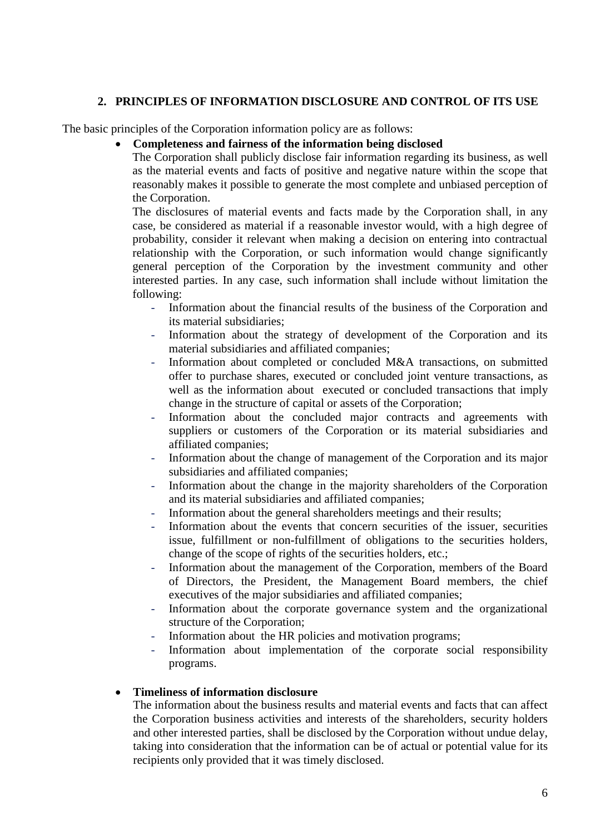# **2. PRINCIPLES OF INFORMATION DISCLOSURE AND CONTROL OF ITS USE**

The basic principles of the Corporation information policy are as follows:

# **Completeness and fairness of the information being disclosed**

The Corporation shall publicly disclose fair information regarding its business, as well as the material events and facts of positive and negative nature within the scope that reasonably makes it possible to generate the most complete and unbiased perception of the Corporation.

The disclosures of material events and facts made by the Corporation shall, in any case, be considered as material if a reasonable investor would, with a high degree of probability, consider it relevant when making a decision on entering into contractual relationship with the Corporation, or such information would change significantly general perception of the Corporation by the investment community and other interested parties. In any case, such information shall include without limitation the following:

- Information about the financial results of the business of the Corporation and its material subsidiaries;
- Information about the strategy of development of the Corporation and its material subsidiaries and affiliated companies;
- Information about completed or concluded M&A transactions, on submitted offer to purchase shares, executed or concluded joint venture transactions, as well as the information about executed or concluded transactions that imply change in the structure of capital or assets of the Corporation;
- Information about the concluded major contracts and agreements with suppliers or customers of the Corporation or its material subsidiaries and affiliated companies;
- Information about the change of management of the Corporation and its major subsidiaries and affiliated companies;
- Information about the change in the majority shareholders of the Corporation and its material subsidiaries and affiliated companies;
- Information about the general shareholders meetings and their results;
- Information about the events that concern securities of the issuer, securities issue, fulfillment or non-fulfillment of obligations to the securities holders, change of the scope of rights of the securities holders, etc.;
- Information about the management of the Corporation, members of the Board of Directors, the President, the Management Board members, the chief executives of the major subsidiaries and affiliated companies;
- Information about the corporate governance system and the organizational structure of the Corporation;
- Information about the HR policies and motivation programs;
- Information about implementation of the corporate social responsibility programs.

## **Timeliness of information disclosure**

The information about the business results and material events and facts that can affect the Corporation business activities and interests of the shareholders, security holders and other interested parties, shall be disclosed by the Corporation without undue delay, taking into consideration that the information can be of actual or potential value for its recipients only provided that it was timely disclosed.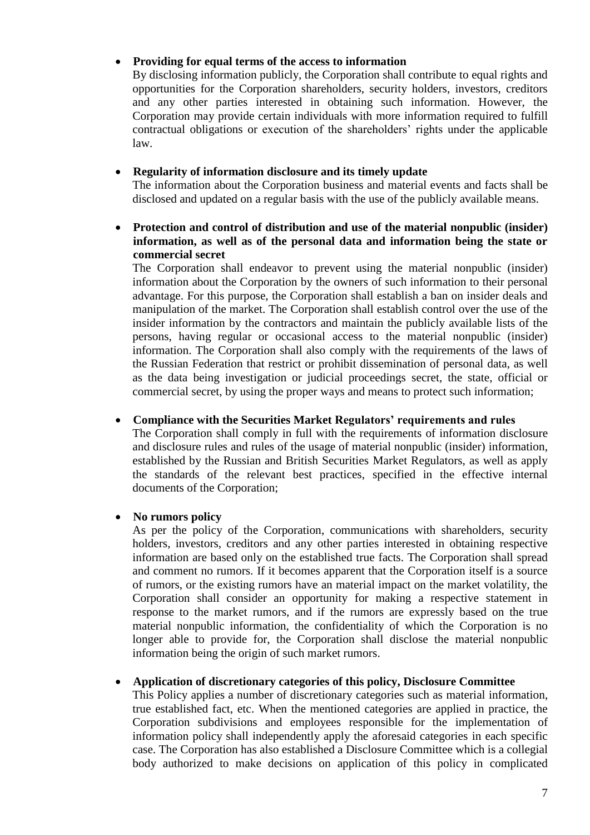#### **Providing for equal terms of the access to information**

By disclosing information publicly, the Corporation shall contribute to equal rights and opportunities for the Corporation shareholders, security holders, investors, creditors and any other parties interested in obtaining such information. However, the Corporation may provide certain individuals with more information required to fulfill contractual obligations or execution of the shareholders' rights under the applicable law.

#### **Regularity of information disclosure and its timely update**

The information about the Corporation business and material events and facts shall be disclosed and updated on a regular basis with the use of the publicly available means.

# **Protection and control of distribution and use of the material nonpublic (insider) information, as well as of the personal data and information being the state or commercial secret**

The Corporation shall endeavor to prevent using the material nonpublic (insider) information about the Corporation by the owners of such information to their personal advantage. For this purpose, the Corporation shall establish a ban on insider deals and manipulation of the market. The Corporation shall establish control over the use of the insider information by the contractors and maintain the publicly available lists of the persons, having regular or occasional access to the material nonpublic (insider) information. The Corporation shall also comply with the requirements of the laws of the Russian Federation that restrict or prohibit dissemination of personal data, as well as the data being investigation or judicial proceedings secret, the state, official or commercial secret, by using the proper ways and means to protect such information;

#### **Compliance with the Securities Market Regulators' requirements and rules**

The Corporation shall comply in full with the requirements of information disclosure and disclosure rules and rules of the usage of material nonpublic (insider) information, established by the Russian and British Securities Market Regulators, as well as apply the standards of the relevant best practices, specified in the effective internal documents of the Corporation;

## **No rumors policy**

As per the policy of the Corporation, communications with shareholders, security holders, investors, creditors and any other parties interested in obtaining respective information are based only on the established true facts. The Corporation shall spread and comment no rumors. If it becomes apparent that the Corporation itself is a source of rumors, or the existing rumors have an material impact on the market volatility, the Corporation shall consider an opportunity for making a respective statement in response to the market rumors, and if the rumors are expressly based on the true material nonpublic information, the confidentiality of which the Corporation is no longer able to provide for, the Corporation shall disclose the material nonpublic information being the origin of such market rumors.

## **Application of discretionary categories of this policy, Disclosure Committee**

This Policy applies a number of discretionary categories such as material information, true established fact, etc. When the mentioned categories are applied in practice, the Corporation subdivisions and employees responsible for the implementation of information policy shall independently apply the aforesaid categories in each specific case. The Corporation has also established a Disclosure Committee which is a collegial body authorized to make decisions on application of this policy in complicated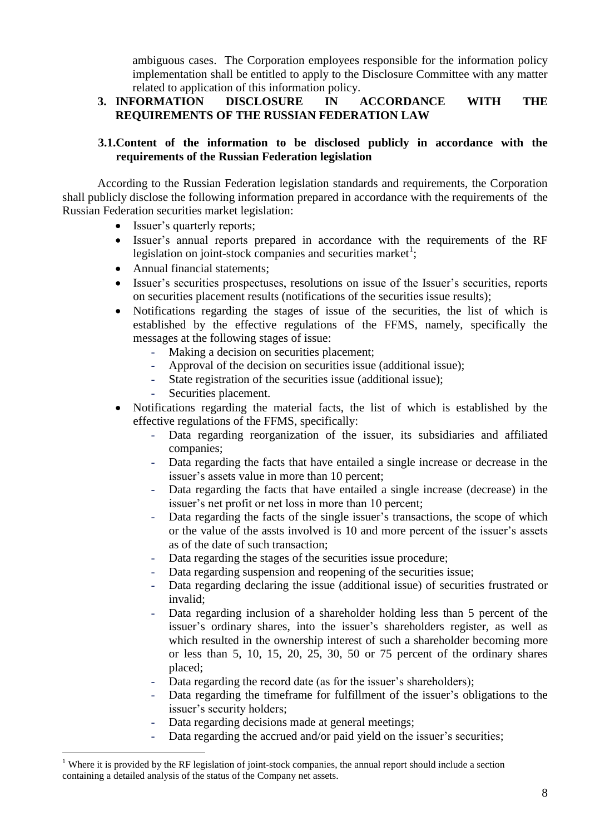ambiguous cases. The Corporation employees responsible for the information policy implementation shall be entitled to apply to the Disclosure Committee with any matter related to application of this information policy.

# **3. INFORMATION DISCLOSURE IN ACCORDANCE WITH THE REQUIREMENTS OF THE RUSSIAN FEDERATION LAW**

# **3.1.Content of the information to be disclosed publicly in accordance with the requirements of the Russian Federation legislation**

According to the Russian Federation legislation standards and requirements, the Corporation shall publicly disclose the following information prepared in accordance with the requirements of the Russian Federation securities market legislation:

- Issuer's quarterly reports;
- Issuer's annual reports prepared in accordance with the requirements of the RF legislation on joint-stock companies and securities market<sup>1</sup>;
- Annual financial statements;
- Issuer's securities prospectuses, resolutions on issue of the Issuer's securities, reports on securities placement results (notifications of the securities issue results);
- Notifications regarding the stages of issue of the securities, the list of which is established by the effective regulations of the FFMS, namely, specifically the messages at the following stages of issue:
	- Making a decision on securities placement;
	- Approval of the decision on securities issue (additional issue);
	- State registration of the securities issue (additional issue);
	- Securities placement.

1

- Notifications regarding the material facts, the list of which is established by the effective regulations of the FFMS, specifically:
	- Data regarding reorganization of the issuer, its subsidiaries and affiliated companies;
	- Data regarding the facts that have entailed a single increase or decrease in the issuer's assets value in more than 10 percent;
	- Data regarding the facts that have entailed a single increase (decrease) in the issuer's net profit or net loss in more than 10 percent;
	- Data regarding the facts of the single issuer's transactions, the scope of which or the value of the assts involved is 10 and more percent of the issuer's assets as of the date of such transaction;
	- Data regarding the stages of the securities issue procedure;
	- Data regarding suspension and reopening of the securities issue;
	- Data regarding declaring the issue (additional issue) of securities frustrated or invalid;
	- Data regarding inclusion of a shareholder holding less than 5 percent of the issuer's ordinary shares, into the issuer's shareholders register, as well as which resulted in the ownership interest of such a shareholder becoming more or less than 5, 10, 15, 20, 25, 30, 50 or 75 percent of the ordinary shares placed;
	- Data regarding the record date (as for the issuer's shareholders);
	- Data regarding the timeframe for fulfillment of the issuer's obligations to the issuer's security holders;
	- Data regarding decisions made at general meetings;
	- Data regarding the accrued and/or paid yield on the issuer's securities;

 $1$  Where it is provided by the RF legislation of joint-stock companies, the annual report should include a section containing a detailed analysis of the status of the Company net assets.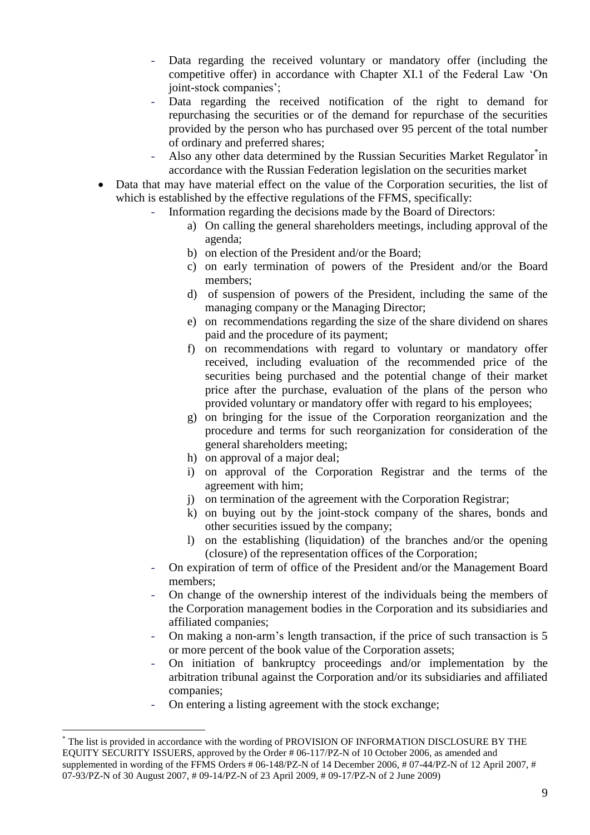- Data regarding the received voluntary or mandatory offer (including the competitive offer) in accordance with Chapter XI.1 of the Federal Law 'On joint-stock companies';
- Data regarding the received notification of the right to demand for repurchasing the securities or of the demand for repurchase of the securities provided by the person who has purchased over 95 percent of the total number of ordinary and preferred shares;
- Also any other data determined by the Russian Securities Market Regulator in accordance with the Russian Federation legislation on the securities market
- Data that may have material effect on the value of the Corporation securities, the list of which is established by the effective regulations of the FFMS, specifically:
	- Information regarding the decisions made by the Board of Directors:
		- a) On calling the general shareholders meetings, including approval of the agenda;
		- b) on election of the President and/or the Board;
		- c) on early termination of powers of the President and/or the Board members;
		- d) of suspension of powers of the President, including the same of the managing company or the Managing Director;
		- e) on recommendations regarding the size of the share dividend on shares paid and the procedure of its payment;
		- f) on recommendations with regard to voluntary or mandatory offer received, including evaluation of the recommended price of the securities being purchased and the potential change of their market price after the purchase, evaluation of the plans of the person who provided voluntary or mandatory offer with regard to his employees;
		- g) on bringing for the issue of the Corporation reorganization and the procedure and terms for such reorganization for consideration of the general shareholders meeting;
		- h) on approval of a major deal;
		- i) on approval of the Corporation Registrar and the terms of the agreement with him;
		- j) on termination of the agreement with the Corporation Registrar;
		- k) on buying out by the joint-stock company of the shares, bonds and other securities issued by the company;
		- l) on the establishing (liquidation) of the branches and/or the opening (closure) of the representation offices of the Corporation;
	- On expiration of term of office of the President and/or the Management Board members;
	- On change of the ownership interest of the individuals being the members of the Corporation management bodies in the Corporation and its subsidiaries and affiliated companies;
	- On making a non-arm's length transaction, if the price of such transaction is 5 or more percent of the book value of the Corporation assets;
	- On initiation of bankruptcy proceedings and/or implementation by the arbitration tribunal against the Corporation and/or its subsidiaries and affiliated companies;
	- On entering a listing agreement with the stock exchange;

1

<sup>\*</sup> The list is provided in accordance with the wording of PROVISION OF INFORMATION DISCLOSURE BY THE EQUITY SECURITY ISSUERS, approved by the Order # 06-117/PZ-N of 10 October 2006, as amended and supplemented in wording of the FFMS Orders # 06-148/PZ-N of 14 December 2006, # 07-44/PZ-N of 12 April 2007, # 07-93/PZ-N of 30 August 2007, # 09-14/PZ-N of 23 April 2009, # 09-17/PZ-N of 2 June 2009)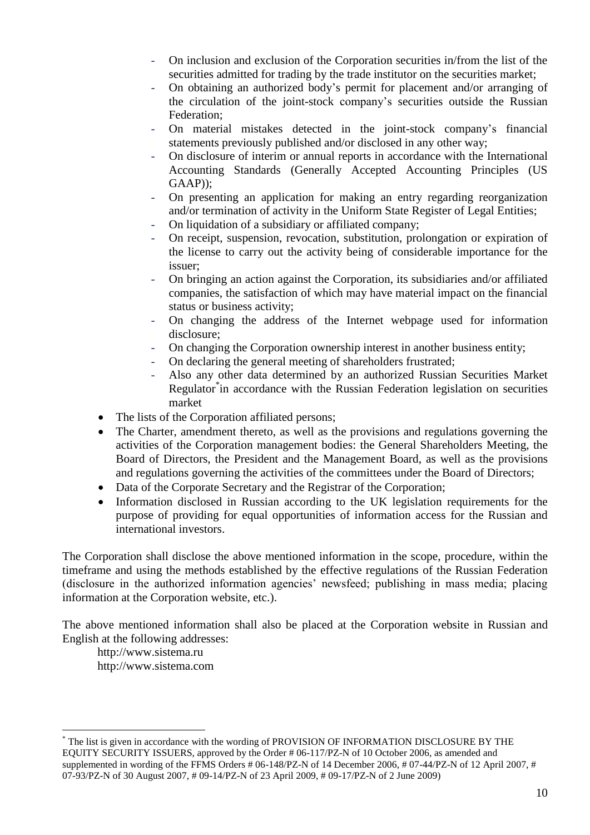- On inclusion and exclusion of the Corporation securities in/from the list of the securities admitted for trading by the trade institutor on the securities market;
- On obtaining an authorized body's permit for placement and/or arranging of the circulation of the joint-stock company's securities outside the Russian Federation;
- On material mistakes detected in the joint-stock company's financial statements previously published and/or disclosed in any other way;
- On disclosure of interim or annual reports in accordance with the International Accounting Standards (Generally Accepted Accounting Principles (US GAAP));
- On presenting an application for making an entry regarding reorganization and/or termination of activity in the Uniform State Register of Legal Entities;
- On liquidation of a subsidiary or affiliated company;
- On receipt, suspension, revocation, substitution, prolongation or expiration of the license to carry out the activity being of considerable importance for the issuer;
- On bringing an action against the Corporation, its subsidiaries and/or affiliated companies, the satisfaction of which may have material impact on the financial status or business activity;
- On changing the address of the Internet webpage used for information disclosure;
- On changing the Corporation ownership interest in another business entity;
- On declaring the general meeting of shareholders frustrated;
- Also any other data determined by an authorized Russian Securities Market Regulator<sup>\*</sup>in accordance with the Russian Federation legislation on securities market
- The lists of the Corporation affiliated persons;
- The Charter, amendment thereto, as well as the provisions and regulations governing the activities of the Corporation management bodies: the General Shareholders Meeting, the Board of Directors, the President and the Management Board, as well as the provisions and regulations governing the activities of the committees under the Board of Directors;
- Data of the Corporate Secretary and the Registrar of the Corporation;
- Information disclosed in Russian according to the UK legislation requirements for the purpose of providing for equal opportunities of information access for the Russian and international investors.

The Corporation shall disclose the above mentioned information in the scope, procedure, within the timeframe and using the methods established by the effective regulations of the Russian Federation (disclosure in the authorized information agencies' newsfeed; publishing in mass media; placing information at the Corporation website, etc.).

The above mentioned information shall also be placed at the Corporation website in Russian and English at the following addresses:

[http://www.sistema.ru](http://www.sistema.ru/) [http://www.sistema.com](http://www.sistema.com/)

1

<sup>\*</sup> The list is given in accordance with the wording of PROVISION OF INFORMATION DISCLOSURE BY THE EQUITY SECURITY ISSUERS, approved by the Order # 06-117/PZ-N of 10 October 2006, as amended and supplemented in wording of the FFMS Orders # 06-148/PZ-N of 14 December 2006, # 07-44/PZ-N of 12 April 2007, # 07-93/PZ-N of 30 August 2007, # 09-14/PZ-N of 23 April 2009, # 09-17/PZ-N of 2 June 2009)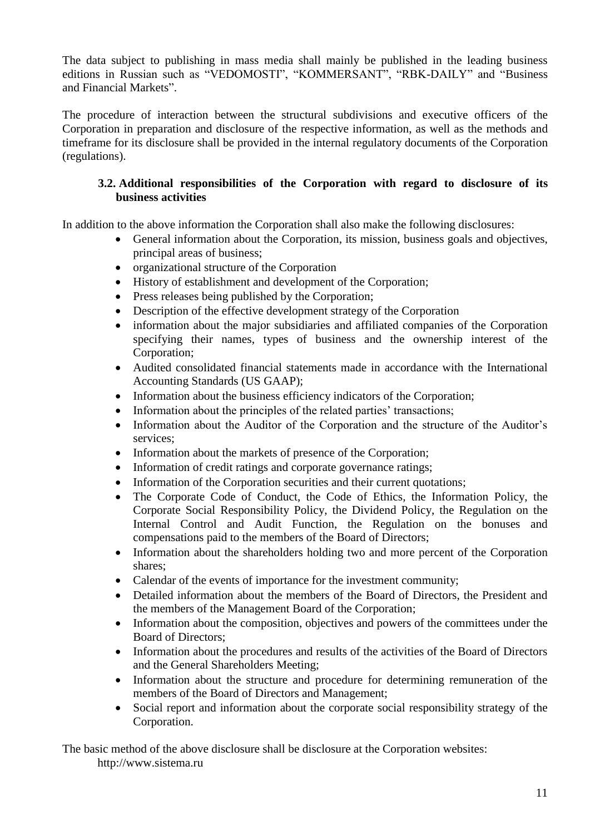The data subject to publishing in mass media shall mainly be published in the leading business editions in Russian such as "VEDOMOSTI", "KOMMERSANT", "RBK-DAILY" and "Business and Financial Markets".

The procedure of interaction between the structural subdivisions and executive officers of the Corporation in preparation and disclosure of the respective information, as well as the methods and timeframe for its disclosure shall be provided in the internal regulatory documents of the Corporation (regulations).

## **3.2. Additional responsibilities of the Corporation with regard to disclosure of its business activities**

In addition to the above information the Corporation shall also make the following disclosures:

- General information about the Corporation, its mission, business goals and objectives, principal areas of business;
- organizational structure of the Corporation
- History of establishment and development of the Corporation;
- Press releases being published by the Corporation;
- Description of the effective development strategy of the Corporation
- information about the major subsidiaries and affiliated companies of the Corporation specifying their names, types of business and the ownership interest of the Corporation;
- Audited consolidated financial statements made in accordance with the International Accounting Standards (US GAAP);
- Information about the business efficiency indicators of the Corporation;
- Information about the principles of the related parties' transactions;
- Information about the Auditor of the Corporation and the structure of the Auditor's services;
- Information about the markets of presence of the Corporation;
- Information of credit ratings and corporate governance ratings;
- Information of the Corporation securities and their current quotations;
- The Corporate Code of Conduct, the Code of Ethics, the Information Policy, the Corporate Social Responsibility Policy, the Dividend Policy, the Regulation on the Internal Control and Audit Function, the Regulation on the bonuses and compensations paid to the members of the Board of Directors;
- Information about the shareholders holding two and more percent of the Corporation shares;
- Calendar of the events of importance for the investment community;
- Detailed information about the members of the Board of Directors, the President and the members of the Management Board of the Corporation;
- Information about the composition, objectives and powers of the committees under the Board of Directors;
- Information about the procedures and results of the activities of the Board of Directors and the General Shareholders Meeting;
- Information about the structure and procedure for determining remuneration of the members of the Board of Directors and Management;
- Social report and information about the corporate social responsibility strategy of the Corporation.

The basic method of the above disclosure shall be disclosure at the Corporation websites: [http://www.sistema.ru](http://www.sistema.ru/)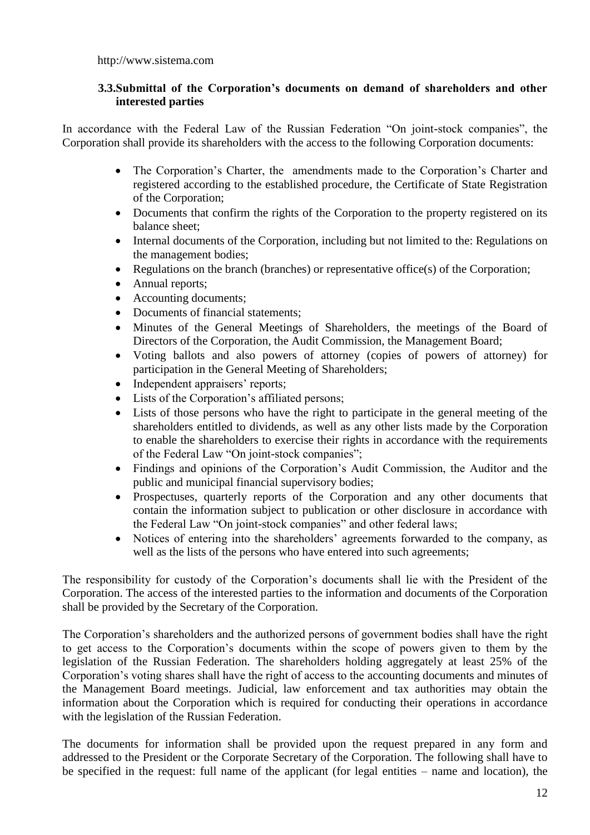### **3.3.Submittal of the Corporation's documents on demand of shareholders and other interested parties**

In accordance with the Federal Law of the Russian Federation "On joint-stock companies", the Corporation shall provide its shareholders with the access to the following Corporation documents:

- The Corporation's Charter, the amendments made to the Corporation's Charter and registered according to the established procedure, the Certificate of State Registration of the Corporation;
- Documents that confirm the rights of the Corporation to the property registered on its balance sheet;
- Internal documents of the Corporation, including but not limited to the: Regulations on the management bodies;
- Regulations on the branch (branches) or representative office(s) of the Corporation;
- Annual reports;
- Accounting documents:
- Documents of financial statements:
- Minutes of the General Meetings of Shareholders, the meetings of the Board of Directors of the Corporation, the Audit Commission, the Management Board;
- Voting ballots and also powers of attorney (copies of powers of attorney) for participation in the General Meeting of Shareholders;
- Independent appraisers' reports;
- Lists of the Corporation's affiliated persons;
- Lists of those persons who have the right to participate in the general meeting of the shareholders entitled to dividends, as well as any other lists made by the Corporation to enable the shareholders to exercise their rights in accordance with the requirements of the Federal Law "On joint-stock companies";
- Findings and opinions of the Corporation's Audit Commission, the Auditor and the public and municipal financial supervisory bodies;
- Prospectuses, quarterly reports of the Corporation and any other documents that contain the information subject to publication or other disclosure in accordance with the Federal Law "On joint-stock companies" and other federal laws;
- Notices of entering into the shareholders' agreements forwarded to the company, as well as the lists of the persons who have entered into such agreements;

The responsibility for custody of the Corporation's documents shall lie with the President of the Corporation. The access of the interested parties to the information and documents of the Corporation shall be provided by the Secretary of the Corporation.

The Corporation's shareholders and the authorized persons of government bodies shall have the right to get access to the Corporation's documents within the scope of powers given to them by the legislation of the Russian Federation. The shareholders holding aggregately at least 25% of the Corporation's voting shares shall have the right of access to the accounting documents and minutes of the Management Board meetings. Judicial, law enforcement and tax authorities may obtain the information about the Corporation which is required for conducting their operations in accordance with the legislation of the Russian Federation.

The documents for information shall be provided upon the request prepared in any form and addressed to the President or the Corporate Secretary of the Corporation. The following shall have to be specified in the request: full name of the applicant (for legal entities – name and location), the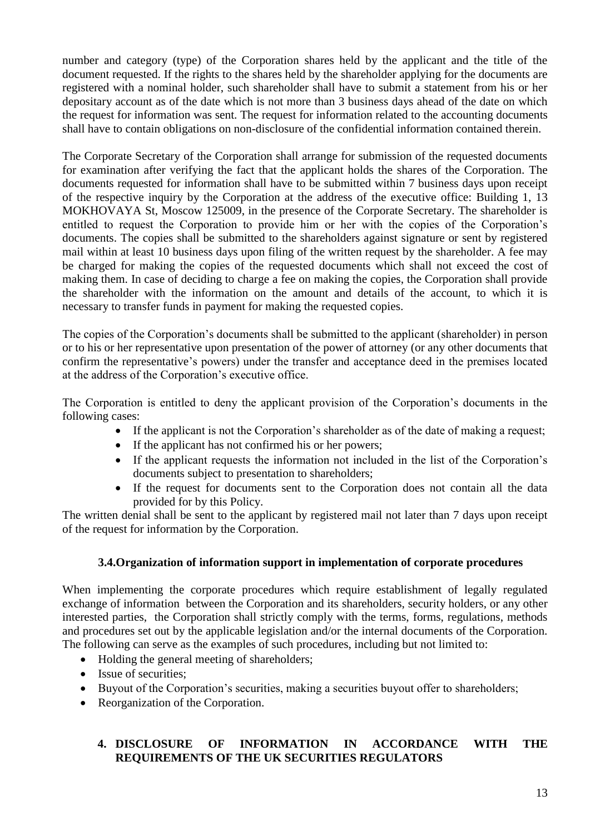number and category (type) of the Corporation shares held by the applicant and the title of the document requested. If the rights to the shares held by the shareholder applying for the documents are registered with a nominal holder, such shareholder shall have to submit a statement from his or her depositary account as of the date which is not more than 3 business days ahead of the date on which the request for information was sent. The request for information related to the accounting documents shall have to contain obligations on non-disclosure of the confidential information contained therein.

The Corporate Secretary of the Corporation shall arrange for submission of the requested documents for examination after verifying the fact that the applicant holds the shares of the Corporation. The documents requested for information shall have to be submitted within 7 business days upon receipt of the respective inquiry by the Corporation at the address of the executive office: Building 1, 13 MOKHOVAYA St, Moscow 125009, in the presence of the Corporate Secretary. The shareholder is entitled to request the Corporation to provide him or her with the copies of the Corporation's documents. The copies shall be submitted to the shareholders against signature or sent by registered mail within at least 10 business days upon filing of the written request by the shareholder. A fee may be charged for making the copies of the requested documents which shall not exceed the cost of making them. In case of deciding to charge a fee on making the copies, the Corporation shall provide the shareholder with the information on the amount and details of the account, to which it is necessary to transfer funds in payment for making the requested copies.

The copies of the Corporation's documents shall be submitted to the applicant (shareholder) in person or to his or her representative upon presentation of the power of attorney (or any other documents that confirm the representative's powers) under the transfer and acceptance deed in the premises located at the address of the Corporation's executive office.

The Corporation is entitled to deny the applicant provision of the Corporation's documents in the following cases:

- If the applicant is not the Corporation's shareholder as of the date of making a request;
- If the applicant has not confirmed his or her powers;
- If the applicant requests the information not included in the list of the Corporation's documents subject to presentation to shareholders;
- If the request for documents sent to the Corporation does not contain all the data provided for by this Policy.

The written denial shall be sent to the applicant by registered mail not later than 7 days upon receipt of the request for information by the Corporation.

## **3.4.Organization of information support in implementation of corporate procedures**

When implementing the corporate procedures which require establishment of legally regulated exchange of information between the Corporation and its shareholders, security holders, or any other interested parties, the Corporation shall strictly comply with the terms, forms, regulations, methods and procedures set out by the applicable legislation and/or the internal documents of the Corporation. The following can serve as the examples of such procedures, including but not limited to:

- Holding the general meeting of shareholders;
- Issue of securities:
- Buyout of the Corporation's securities, making a securities buyout offer to shareholders;
- Reorganization of the Corporation.

# **4. DISCLOSURE OF INFORMATION IN ACCORDANCE WITH THE REQUIREMENTS OF THE UK SECURITIES REGULATORS**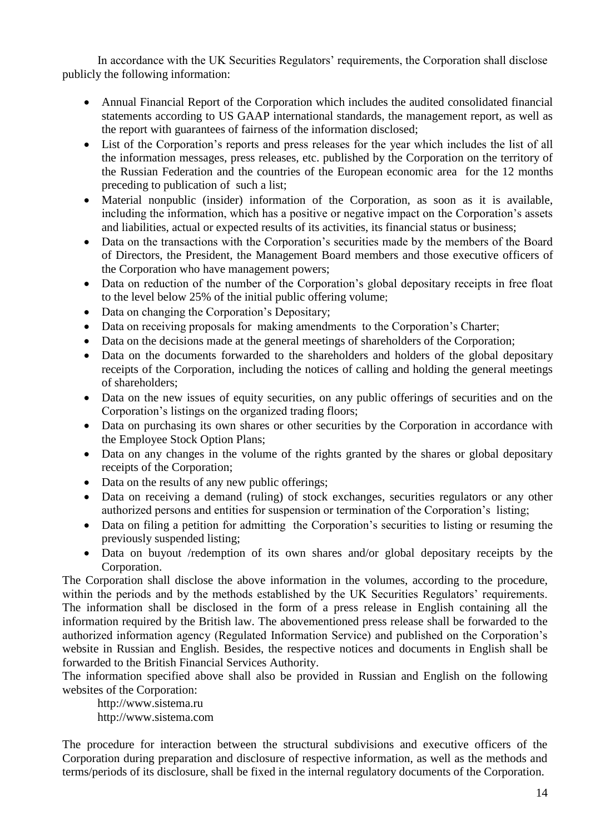In accordance with the UK Securities Regulators' requirements, the Corporation shall disclose publicly the following information:

- Annual Financial Report of the Corporation which includes the audited consolidated financial statements according to US GAAP international standards, the management report, as well as the report with guarantees of fairness of the information disclosed;
- List of the Corporation's reports and press releases for the year which includes the list of all the information messages, press releases, etc. published by the Corporation on the territory of the Russian Federation and the countries of the European economic area for the 12 months preceding to publication of such a list;
- Material nonpublic (insider) information of the Corporation, as soon as it is available, including the information, which has a positive or negative impact on the Corporation's assets and liabilities, actual or expected results of its activities, its financial status or business;
- Data on the transactions with the Corporation's securities made by the members of the Board of Directors, the President, the Management Board members and those executive officers of the Corporation who have management powers;
- Data on reduction of the number of the Corporation's global depositary receipts in free float to the level below 25% of the initial public offering volume;
- Data on changing the Corporation's Depositary;
- Data on receiving proposals for making amendments to the Corporation's Charter;
- Data on the decisions made at the general meetings of shareholders of the Corporation;
- Data on the documents forwarded to the shareholders and holders of the global depositary receipts of the Corporation, including the notices of calling and holding the general meetings of shareholders;
- Data on the new issues of equity securities, on any public offerings of securities and on the Corporation's listings on the organized trading floors;
- Data on purchasing its own shares or other securities by the Corporation in accordance with the Employee Stock Option Plans;
- Data on any changes in the volume of the rights granted by the shares or global depositary receipts of the Corporation;
- Data on the results of any new public offerings;
- Data on receiving a demand (ruling) of stock exchanges, securities regulators or any other authorized persons and entities for suspension or termination of the Corporation's listing;
- Data on filing a petition for admitting the Corporation's securities to listing or resuming the previously suspended listing;
- Data on buyout /redemption of its own shares and/or global depositary receipts by the Corporation.

The Corporation shall disclose the above information in the volumes, according to the procedure, within the periods and by the methods established by the UK Securities Regulators' requirements. The information shall be disclosed in the form of a press release in English containing all the information required by the British law. The abovementioned press release shall be forwarded to the authorized information agency (Regulated Information Service) and published on the Corporation's website in Russian and English. Besides, the respective notices and documents in English shall be forwarded to the British Financial Services Authority.

The information specified above shall also be provided in Russian and English on the following websites of the Corporation:

[http://www.sistema.ru](http://www.sistema.ru/) http://www.sistema.com

The procedure for interaction between the structural subdivisions and executive officers of the Corporation during preparation and disclosure of respective information, as well as the methods and terms/periods of its disclosure, shall be fixed in the internal regulatory documents of the Corporation.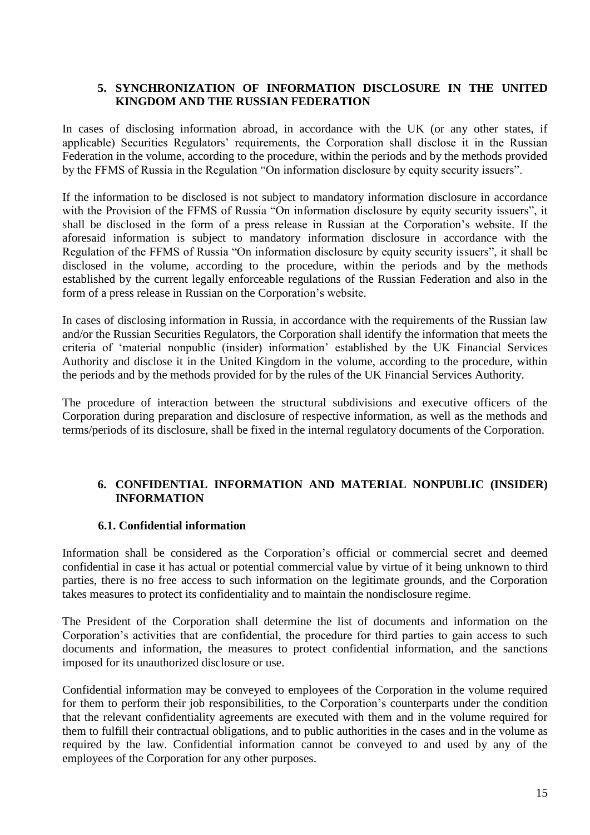#### **5. SYNCHRONIZATION OF INFORMATION DISCLOSURE IN THE UNITED KINGDOM AND THE RUSSIAN FEDERATION**

In cases of disclosing information abroad, in accordance with the UK (or any other states, if applicable) Securities Regulators' requirements, the Corporation shall disclose it in the Russian Federation in the volume, according to the procedure, within the periods and by the methods provided by the FFMS of Russia in the Regulation "On information disclosure by equity security issuers".

If the information to be disclosed is not subject to mandatory information disclosure in accordance with the Provision of the FFMS of Russia "On information disclosure by equity security issuers", it shall be disclosed in the form of a press release in Russian at the Corporation's website. If the aforesaid information is subject to mandatory information disclosure in accordance with the Regulation of the FFMS of Russia "On information disclosure by equity security issuers", it shall be disclosed in the volume, according to the procedure, within the periods and by the methods established by the current legally enforceable regulations of the Russian Federation and also in the form of a press release in Russian on the Corporation's website.

In cases of disclosing information in Russia, in accordance with the requirements of the Russian law and/or the Russian Securities Regulators, the Corporation shall identify the information that meets the criteria of 'material nonpublic (insider) information' established by the UK Financial Services Authority and disclose it in the United Kingdom in the volume, according to the procedure, within the periods and by the methods provided for by the rules of the UK Financial Services Authority.

The procedure of interaction between the structural subdivisions and executive officers of the Corporation during preparation and disclosure of respective information, as well as the methods and terms/periods of its disclosure, shall be fixed in the internal regulatory documents of the Corporation.

## **6. CONFIDENTIAL INFORMATION AND MATERIAL NONPUBLIC (INSIDER) INFORMATION**

## **6.1. Confidential information**

Information shall be considered as the Corporation's official or commercial secret and deemed confidential in case it has actual or potential commercial value by virtue of it being unknown to third parties, there is no free access to such information on the legitimate grounds, and the Corporation takes measures to protect its confidentiality and to maintain the nondisclosure regime.

The President of the Corporation shall determine the list of documents and information on the Corporation's activities that are confidential, the procedure for third parties to gain access to such documents and information, the measures to protect confidential information, and the sanctions imposed for its unauthorized disclosure or use.

Confidential information may be conveyed to employees of the Corporation in the volume required for them to perform their job responsibilities, to the Corporation's counterparts under the condition that the relevant confidentiality agreements are executed with them and in the volume required for them to fulfill their contractual obligations, and to public authorities in the cases and in the volume as required by the law. Confidential information cannot be conveyed to and used by any of the employees of the Corporation for any other purposes.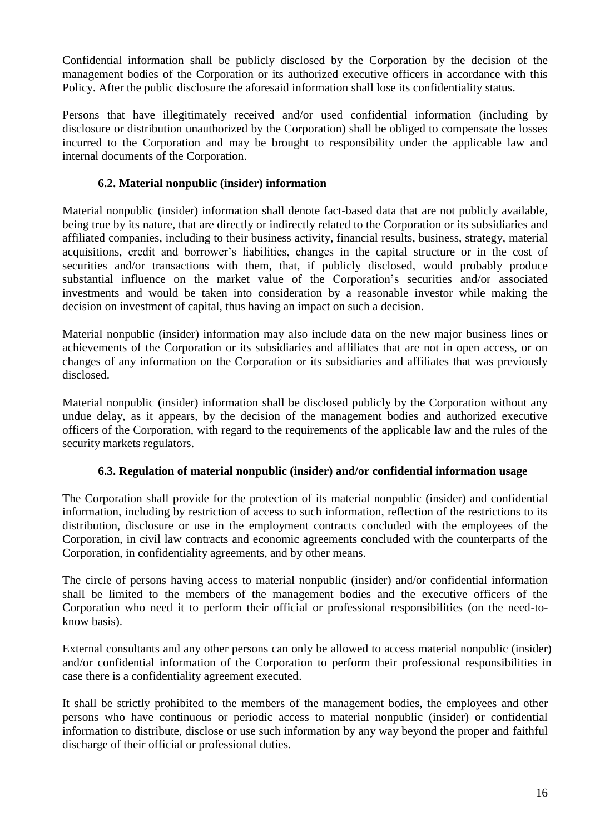Confidential information shall be publicly disclosed by the Corporation by the decision of the management bodies of the Corporation or its authorized executive officers in accordance with this Policy. After the public disclosure the aforesaid information shall lose its confidentiality status.

Persons that have illegitimately received and/or used confidential information (including by disclosure or distribution unauthorized by the Corporation) shall be obliged to compensate the losses incurred to the Corporation and may be brought to responsibility under the applicable law and internal documents of the Corporation.

#### **6.2. Material nonpublic (insider) information**

Material nonpublic (insider) information shall denote fact-based data that are not publicly available, being true by its nature, that are directly or indirectly related to the Corporation or its subsidiaries and affiliated companies, including to their business activity, financial results, business, strategy, material acquisitions, credit and borrower's liabilities, changes in the capital structure or in the cost of securities and/or transactions with them, that, if publicly disclosed, would probably produce substantial influence on the market value of the Corporation's securities and/or associated investments and would be taken into consideration by a reasonable investor while making the decision on investment of capital, thus having an impact on such a decision.

Material nonpublic (insider) information may also include data on the new major business lines or achievements of the Corporation or its subsidiaries and affiliates that are not in open access, or on changes of any information on the Corporation or its subsidiaries and affiliates that was previously disclosed.

Material nonpublic (insider) information shall be disclosed publicly by the Corporation without any undue delay, as it appears, by the decision of the management bodies and authorized executive officers of the Corporation, with regard to the requirements of the applicable law and the rules of the security markets regulators.

#### **6.3. Regulation of material nonpublic (insider) and/or confidential information usage**

The Corporation shall provide for the protection of its material nonpublic (insider) and confidential information, including by restriction of access to such information, reflection of the restrictions to its distribution, disclosure or use in the employment contracts concluded with the employees of the Corporation, in civil law contracts and economic agreements concluded with the counterparts of the Corporation, in confidentiality agreements, and by other means.

The circle of persons having access to material nonpublic (insider) and/or confidential information shall be limited to the members of the management bodies and the executive officers of the Corporation who need it to perform their official or professional responsibilities (on the need-toknow basis).

External consultants and any other persons can only be allowed to access material nonpublic (insider) and/or confidential information of the Corporation to perform their professional responsibilities in case there is a confidentiality agreement executed.

It shall be strictly prohibited to the members of the management bodies, the employees and other persons who have continuous or periodic access to material nonpublic (insider) or confidential information to distribute, disclose or use such information by any way beyond the proper and faithful discharge of their official or professional duties.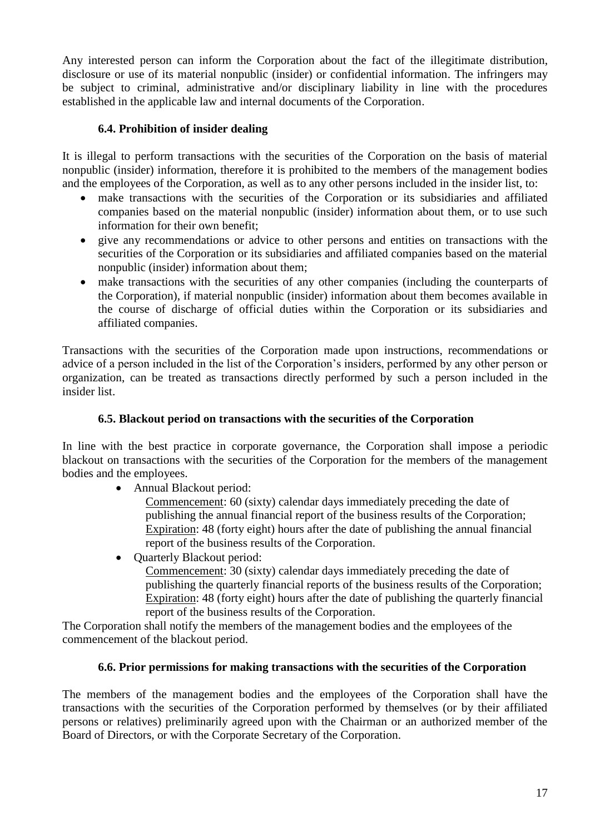Any interested person can inform the Corporation about the fact of the illegitimate distribution, disclosure or use of its material nonpublic (insider) or confidential information. The infringers may be subject to criminal, administrative and/or disciplinary liability in line with the procedures established in the applicable law and internal documents of the Corporation.

# **6.4. Prohibition of insider dealing**

It is illegal to perform transactions with the securities of the Corporation on the basis of material nonpublic (insider) information, therefore it is prohibited to the members of the management bodies and the employees of the Corporation, as well as to any other persons included in the insider list, to:

- make transactions with the securities of the Corporation or its subsidiaries and affiliated companies based on the material nonpublic (insider) information about them, or to use such information for their own benefit;
- give any recommendations or advice to other persons and entities on transactions with the securities of the Corporation or its subsidiaries and affiliated companies based on the material nonpublic (insider) information about them;
- make transactions with the securities of any other companies (including the counterparts of the Corporation), if material nonpublic (insider) information about them becomes available in the course of discharge of official duties within the Corporation or its subsidiaries and affiliated companies.

Transactions with the securities of the Corporation made upon instructions, recommendations or advice of a person included in the list of the Corporation's insiders, performed by any other person or organization, can be treated as transactions directly performed by such a person included in the insider list.

## **6.5. Blackout period on transactions with the securities of the Corporation**

In line with the best practice in corporate governance, the Corporation shall impose a periodic blackout on transactions with the securities of the Corporation for the members of the management bodies and the employees.

Annual Blackout period:

Commencement: 60 (sixty) calendar days immediately preceding the date of publishing the annual financial report of the business results of the Corporation; Expiration: 48 (forty eight) hours after the date of publishing the annual financial report of the business results of the Corporation.

• Quarterly Blackout period:

Commencement: 30 (sixty) calendar days immediately preceding the date of publishing the quarterly financial reports of the business results of the Corporation; Expiration: 48 (forty eight) hours after the date of publishing the quarterly financial report of the business results of the Corporation.

The Corporation shall notify the members of the management bodies and the employees of the commencement of the blackout period.

# **6.6. Prior permissions for making transactions with the securities of the Corporation**

The members of the management bodies and the employees of the Corporation shall have the transactions with the securities of the Corporation performed by themselves (or by their affiliated persons or relatives) preliminarily agreed upon with the Chairman or an authorized member of the Board of Directors, or with the Corporate Secretary of the Corporation.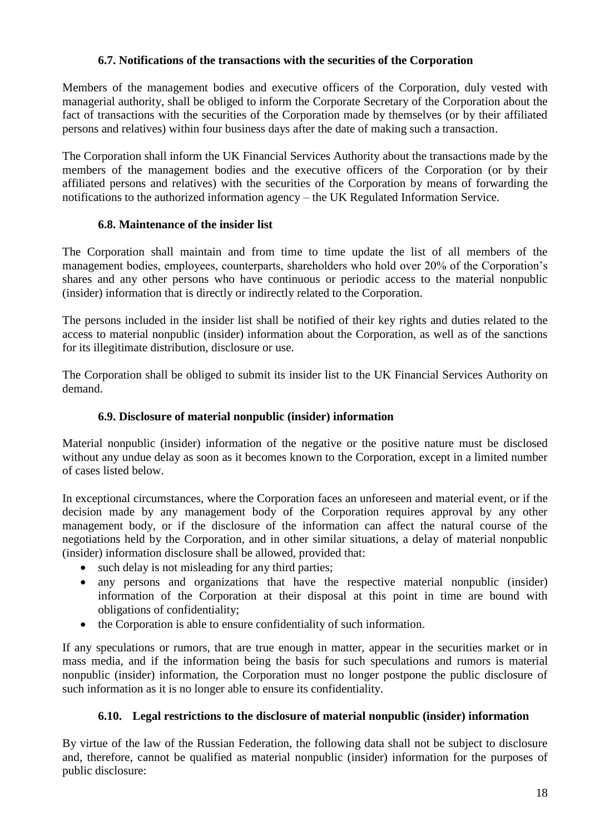# **6.7. Notifications of the transactions with the securities of the Corporation**

Members of the management bodies and executive officers of the Corporation, duly vested with managerial authority, shall be obliged to inform the Corporate Secretary of the Corporation about the fact of transactions with the securities of the Corporation made by themselves (or by their affiliated persons and relatives) within four business days after the date of making such a transaction.

The Corporation shall inform the UK Financial Services Authority about the transactions made by the members of the management bodies and the executive officers of the Corporation (or by their affiliated persons and relatives) with the securities of the Corporation by means of forwarding the notifications to the authorized information agency – the UK Regulated Information Service.

# **6.8. Maintenance of the insider list**

The Corporation shall maintain and from time to time update the list of all members of the management bodies, employees, counterparts, shareholders who hold over 20% of the Corporation's shares and any other persons who have continuous or periodic access to the material nonpublic (insider) information that is directly or indirectly related to the Corporation.

The persons included in the insider list shall be notified of their key rights and duties related to the access to material nonpublic (insider) information about the Corporation, as well as of the sanctions for its illegitimate distribution, disclosure or use.

The Corporation shall be obliged to submit its insider list to the UK Financial Services Authority on demand.

## **6.9. Disclosure of material nonpublic (insider) information**

Material nonpublic (insider) information of the negative or the positive nature must be disclosed without any undue delay as soon as it becomes known to the Corporation, except in a limited number of cases listed below.

In exceptional circumstances, where the Corporation faces an unforeseen and material event, or if the decision made by any management body of the Corporation requires approval by any other management body, or if the disclosure of the information can affect the natural course of the negotiations held by the Corporation, and in other similar situations, a delay of material nonpublic (insider) information disclosure shall be allowed, provided that:

- such delay is not misleading for any third parties;
- any persons and organizations that have the respective material nonpublic (insider) information of the Corporation at their disposal at this point in time are bound with obligations of confidentiality;
- the Corporation is able to ensure confidentiality of such information.

If any speculations or rumors, that are true enough in matter, appear in the securities market or in mass media, and if the information being the basis for such speculations and rumors is material nonpublic (insider) information, the Corporation must no longer postpone the public disclosure of such information as it is no longer able to ensure its confidentiality.

# **6.10. Legal restrictions to the disclosure of material nonpublic (insider) information**

By virtue of the law of the Russian Federation, the following data shall not be subject to disclosure and, therefore, cannot be qualified as material nonpublic (insider) information for the purposes of public disclosure: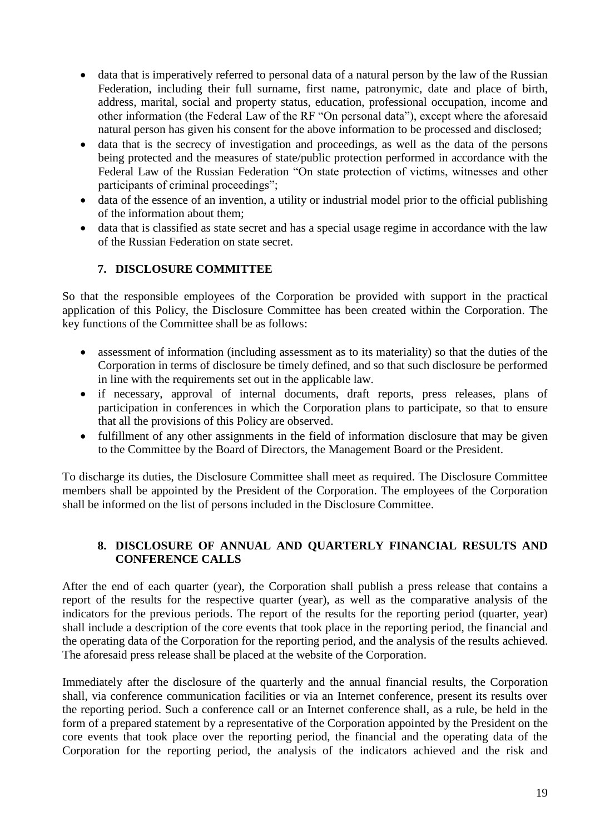- data that is imperatively referred to personal data of a natural person by the law of the Russian Federation, including their full surname, first name, patronymic, date and place of birth, address, marital, social and property status, education, professional occupation, income and other information (the Federal Law of the RF "On personal data"), except where the aforesaid natural person has given his consent for the above information to be processed and disclosed;
- data that is the secrecy of investigation and proceedings, as well as the data of the persons being protected and the measures of state/public protection performed in accordance with the Federal Law of the Russian Federation "On state protection of victims, witnesses and other participants of criminal proceedings";
- data of the essence of an invention, a utility or industrial model prior to the official publishing of the information about them;
- data that is classified as state secret and has a special usage regime in accordance with the law of the Russian Federation on state secret.

# **7. DISCLOSURE COMMITTEE**

So that the responsible employees of the Corporation be provided with support in the practical application of this Policy, the Disclosure Committee has been created within the Corporation. The key functions of the Committee shall be as follows:

- assessment of information (including assessment as to its materiality) so that the duties of the Corporation in terms of disclosure be timely defined, and so that such disclosure be performed in line with the requirements set out in the applicable law.
- if necessary, approval of internal documents, draft reports, press releases, plans of participation in conferences in which the Corporation plans to participate, so that to ensure that all the provisions of this Policy are observed.
- fulfillment of any other assignments in the field of information disclosure that may be given to the Committee by the Board of Directors, the Management Board or the President.

To discharge its duties, the Disclosure Committee shall meet as required. The Disclosure Committee members shall be appointed by the President of the Corporation. The employees of the Corporation shall be informed on the list of persons included in the Disclosure Committee.

## **8. DISCLOSURE OF ANNUAL AND QUARTERLY FINANCIAL RESULTS AND CONFERENCE CALLS**

After the end of each quarter (year), the Corporation shall publish a press release that contains a report of the results for the respective quarter (year), as well as the comparative analysis of the indicators for the previous periods. The report of the results for the reporting period (quarter, year) shall include a description of the core events that took place in the reporting period, the financial and the operating data of the Corporation for the reporting period, and the analysis of the results achieved. The aforesaid press release shall be placed at the website of the Corporation.

Immediately after the disclosure of the quarterly and the annual financial results, the Corporation shall, via conference communication facilities or via an Internet conference, present its results over the reporting period. Such a conference call or an Internet conference shall, as a rule, be held in the form of a prepared statement by a representative of the Corporation appointed by the President on the core events that took place over the reporting period, the financial and the operating data of the Corporation for the reporting period, the analysis of the indicators achieved and the risk and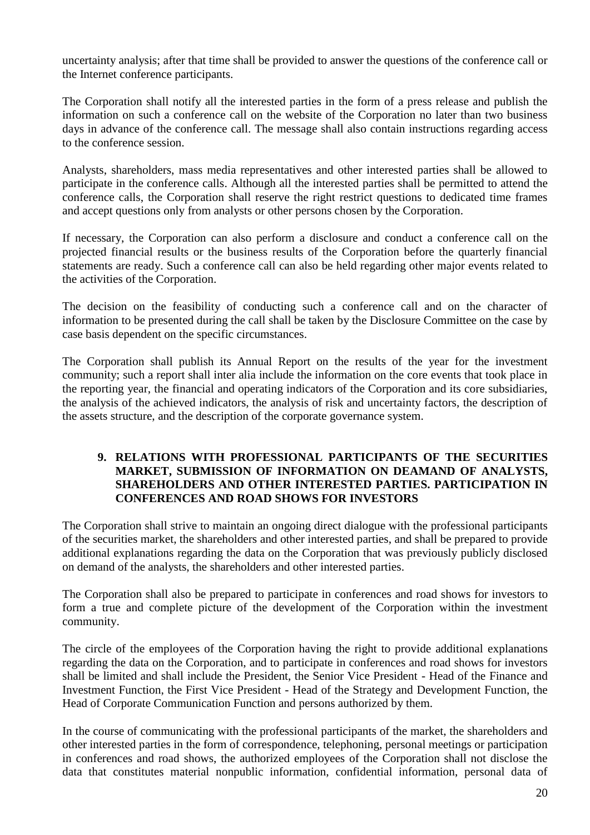uncertainty analysis; after that time shall be provided to answer the questions of the conference call or the Internet conference participants.

The Corporation shall notify all the interested parties in the form of a press release and publish the information on such a conference call on the website of the Corporation no later than two business days in advance of the conference call. The message shall also contain instructions regarding access to the conference session.

Analysts, shareholders, mass media representatives and other interested parties shall be allowed to participate in the conference calls. Although all the interested parties shall be permitted to attend the conference calls, the Corporation shall reserve the right restrict questions to dedicated time frames and accept questions only from analysts or other persons chosen by the Corporation.

If necessary, the Corporation can also perform a disclosure and conduct a conference call on the projected financial results or the business results of the Corporation before the quarterly financial statements are ready. Such a conference call can also be held regarding other major events related to the activities of the Corporation.

The decision on the feasibility of conducting such a conference call and on the character of information to be presented during the call shall be taken by the Disclosure Committee on the case by case basis dependent on the specific circumstances.

The Corporation shall publish its Annual Report on the results of the year for the investment community; such a report shall inter alia include the information on the core events that took place in the reporting year, the financial and operating indicators of the Corporation and its core subsidiaries, the analysis of the achieved indicators, the analysis of risk and uncertainty factors, the description of the assets structure, and the description of the corporate governance system.

#### **9. RELATIONS WITH PROFESSIONAL PARTICIPANTS OF THE SECURITIES MARKET, SUBMISSION OF INFORMATION ON DEAMAND OF ANALYSTS, SHAREHOLDERS AND OTHER INTERESTED PARTIES. PARTICIPATION IN CONFERENCES AND ROAD SHOWS FOR INVESTORS**

The Corporation shall strive to maintain an ongoing direct dialogue with the professional participants of the securities market, the shareholders and other interested parties, and shall be prepared to provide additional explanations regarding the data on the Corporation that was previously publicly disclosed on demand of the analysts, the shareholders and other interested parties.

The Corporation shall also be prepared to participate in conferences and road shows for investors to form a true and complete picture of the development of the Corporation within the investment community.

The circle of the employees of the Corporation having the right to provide additional explanations regarding the data on the Corporation, and to participate in conferences and road shows for investors shall be limited and shall include the President, the Senior Vice President - Head of the Finance and Investment Function, the First Vice President - Head of the Strategy and Development Function, the Head of Corporate Communication Function and persons authorized by them.

In the course of communicating with the professional participants of the market, the shareholders and other interested parties in the form of correspondence, telephoning, personal meetings or participation in conferences and road shows, the authorized employees of the Corporation shall not disclose the data that constitutes material nonpublic information, confidential information, personal data of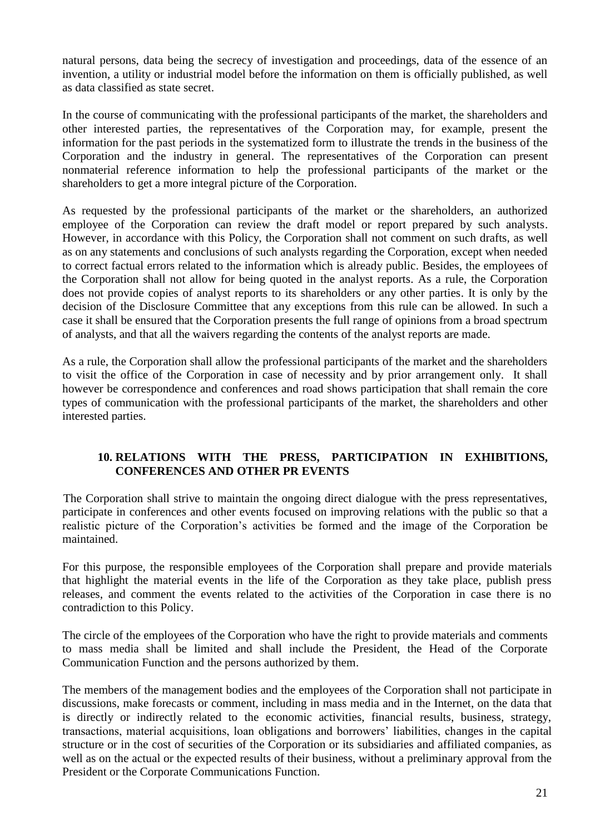natural persons, data being the secrecy of investigation and proceedings, data of the essence of an invention, a utility or industrial model before the information on them is officially published, as well as data classified as state secret.

In the course of communicating with the professional participants of the market, the shareholders and other interested parties, the representatives of the Corporation may, for example, present the information for the past periods in the systematized form to illustrate the trends in the business of the Corporation and the industry in general. The representatives of the Corporation can present nonmaterial reference information to help the professional participants of the market or the shareholders to get a more integral picture of the Corporation.

As requested by the professional participants of the market or the shareholders, an authorized employee of the Corporation can review the draft model or report prepared by such analysts. However, in accordance with this Policy, the Corporation shall not comment on such drafts, as well as on any statements and conclusions of such analysts regarding the Corporation, except when needed to correct factual errors related to the information which is already public. Besides, the employees of the Corporation shall not allow for being quoted in the analyst reports. As a rule, the Corporation does not provide copies of analyst reports to its shareholders or any other parties. It is only by the decision of the Disclosure Committee that any exceptions from this rule can be allowed. In such a case it shall be ensured that the Corporation presents the full range of opinions from a broad spectrum of analysts, and that all the waivers regarding the contents of the analyst reports are made.

As a rule, the Corporation shall allow the professional participants of the market and the shareholders to visit the office of the Corporation in case of necessity and by prior arrangement only. It shall however be correspondence and conferences and road shows participation that shall remain the core types of communication with the professional participants of the market, the shareholders and other interested parties.

# **10. RELATIONS WITH THE PRESS, PARTICIPATION IN EXHIBITIONS, CONFERENCES AND OTHER PR EVENTS**

The Corporation shall strive to maintain the ongoing direct dialogue with the press representatives, participate in conferences and other events focused on improving relations with the public so that a realistic picture of the Corporation's activities be formed and the image of the Corporation be maintained.

For this purpose, the responsible employees of the Corporation shall prepare and provide materials that highlight the material events in the life of the Corporation as they take place, publish press releases, and comment the events related to the activities of the Corporation in case there is no contradiction to this Policy.

The circle of the employees of the Corporation who have the right to provide materials and comments to mass media shall be limited and shall include the President, the Head of the Corporate Communication Function and the persons authorized by them.

The members of the management bodies and the employees of the Corporation shall not participate in discussions, make forecasts or comment, including in mass media and in the Internet, on the data that is directly or indirectly related to the economic activities, financial results, business, strategy, transactions, material acquisitions, loan obligations and borrowers' liabilities, changes in the capital structure or in the cost of securities of the Corporation or its subsidiaries and affiliated companies, as well as on the actual or the expected results of their business, without a preliminary approval from the President or the Corporate Communications Function.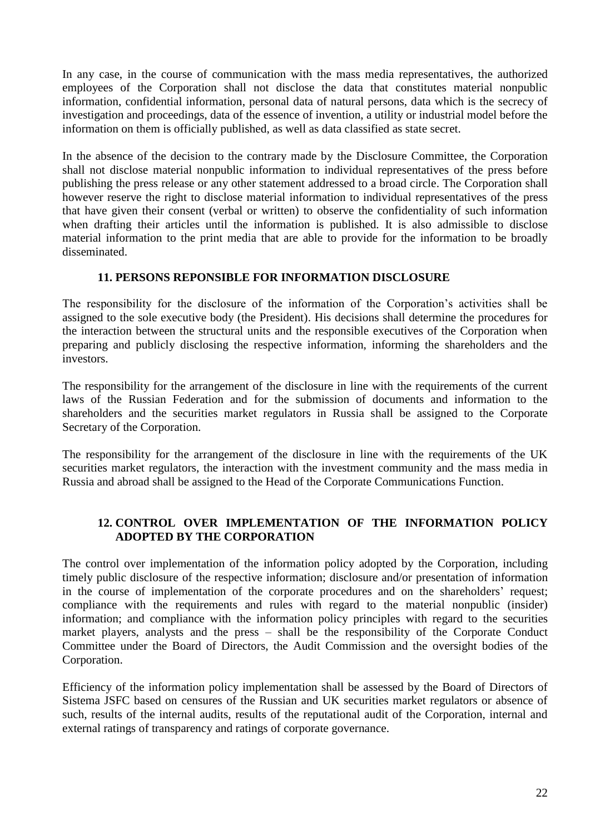In any case, in the course of communication with the mass media representatives, the authorized employees of the Corporation shall not disclose the data that constitutes material nonpublic information, confidential information, personal data of natural persons, data which is the secrecy of investigation and proceedings, data of the essence of invention, a utility or industrial model before the information on them is officially published, as well as data classified as state secret.

In the absence of the decision to the contrary made by the Disclosure Committee, the Corporation shall not disclose material nonpublic information to individual representatives of the press before publishing the press release or any other statement addressed to a broad circle. The Corporation shall however reserve the right to disclose material information to individual representatives of the press that have given their consent (verbal or written) to observe the confidentiality of such information when drafting their articles until the information is published. It is also admissible to disclose material information to the print media that are able to provide for the information to be broadly disseminated.

#### **11. PERSONS REPONSIBLE FOR INFORMATION DISCLOSURE**

The responsibility for the disclosure of the information of the Corporation's activities shall be assigned to the sole executive body (the President). His decisions shall determine the procedures for the interaction between the structural units and the responsible executives of the Corporation when preparing and publicly disclosing the respective information, informing the shareholders and the investors.

The responsibility for the arrangement of the disclosure in line with the requirements of the current laws of the Russian Federation and for the submission of documents and information to the shareholders and the securities market regulators in Russia shall be assigned to the Corporate Secretary of the Corporation.

The responsibility for the arrangement of the disclosure in line with the requirements of the UK securities market regulators, the interaction with the investment community and the mass media in Russia and abroad shall be assigned to the Head of the Corporate Communications Function.

## **12. CONTROL OVER IMPLEMENTATION OF THE INFORMATION POLICY ADOPTED BY THE CORPORATION**

The control over implementation of the information policy adopted by the Corporation, including timely public disclosure of the respective information; disclosure and/or presentation of information in the course of implementation of the corporate procedures and on the shareholders' request; compliance with the requirements and rules with regard to the material nonpublic (insider) information; and compliance with the information policy principles with regard to the securities market players, analysts and the press – shall be the responsibility of the Corporate Conduct Committee under the Board of Directors, the Audit Commission and the oversight bodies of the Corporation.

Efficiency of the information policy implementation shall be assessed by the Board of Directors of Sistema JSFC based on censures of the Russian and UK securities market regulators or absence of such, results of the internal audits, results of the reputational audit of the Corporation, internal and external ratings of transparency and ratings of corporate governance.